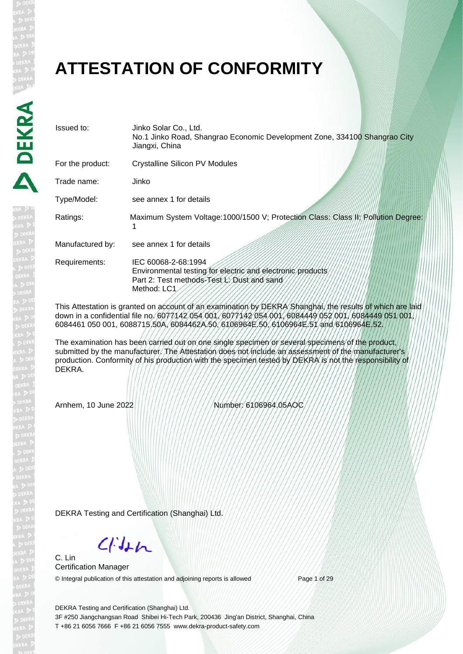#### **ATTESTATION OF CONFORMITY**

| Issued to:       | Jinko Solar Co., Ltd.<br>No.1 Jinko Road, Shangrao Economic Development Zone, 334100 Shangrao City<br>Jiangxi, China                           |
|------------------|------------------------------------------------------------------------------------------------------------------------------------------------|
| For the product: | <b>Crystalline Silicon PV Modules</b>                                                                                                          |
| Trade name:      | Jinko                                                                                                                                          |
| Type/Model:      | see annex 1 for details                                                                                                                        |
| Ratings:         | Maximum System Voltage:1000/1500 V; Protection Class: Class/II; Pollution Degree:                                                              |
| Manufactured by: | see annex 1 for details                                                                                                                        |
| Requirements:    | IEC 60068-2-68:1994<br>Environmental testing for electric and electronic products<br>Part 2: Test methods-Test L: Dust and sand<br>Method: LC1 |

This Attestation is granted on account of an examination by DEKRA Shanghai, the results of which are laid down in a confidential file no. 6077142 054 001, 6077142 054 001, 6084449 052 001, 6084449 051 001, 6084461 050 001, 6088715.50A, 6084462A.50, 6106964E.50, 6106964E.51 and 6106964E.52.

The examination has been carried out on one single specimen or several specimens of the product, submitted by the manufacturer. The Attestation does not include an assessment of the manufacturer's production. Conformity of his production with the specimen tested by DEKRA is not the responsibility of DEKRA.

Arnhem, 10 June 2022 Number: 6106964.05AOC

DEKRA Testing and Certification (Shanghai) Ltd.

 $C/Mn$ 

C. Lin Certification Manager © Integral publication of this attestation and adjoining reports is allowed Page 1 of 29

DEKRA Testing and Certification (Shanghai) Ltd. 3F #250 Jiangchangsan Road Shibei Hi-Tech Park, 200436 Jing'an District, Shanghai, China T +86 21 6056 7666 F +86 21 6056 7555 www.dekra-product-safety.com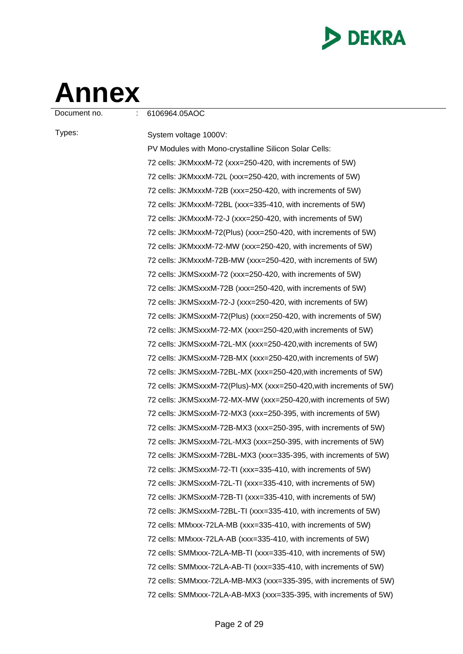

# **Annex**

Document no. : 6106964.05AOC

Types: System voltage 1000V: PV Modules with Mono-crystalline Silicon Solar Cells: 72 cells: JKMxxxM-72 (xxx=250-420, with increments of 5W) 72 cells: JKMxxxM-72L (xxx=250-420, with increments of 5W) 72 cells: JKMxxxM-72B (xxx=250-420, with increments of 5W) 72 cells: JKMxxxM-72BL (xxx=335-410, with increments of 5W) 72 cells: JKMxxxM-72-J (xxx=250-420, with increments of 5W) 72 cells: JKMxxxM-72(Plus) (xxx=250-420, with increments of 5W) 72 cells: JKMxxxM-72-MW (xxx=250-420, with increments of 5W) 72 cells: JKMxxxM-72B-MW (xxx=250-420, with increments of 5W) 72 cells: JKMSxxxM-72 (xxx=250-420, with increments of 5W) 72 cells: JKMSxxxM-72B (xxx=250-420, with increments of 5W) 72 cells: JKMSxxxM-72-J (xxx=250-420, with increments of 5W) 72 cells: JKMSxxxM-72(Plus) (xxx=250-420, with increments of 5W) 72 cells: JKMSxxxM-72-MX (xxx=250-420,with increments of 5W) 72 cells: JKMSxxxM-72L-MX (xxx=250-420,with increments of 5W) 72 cells: JKMSxxxM-72B-MX (xxx=250-420,with increments of 5W) 72 cells: JKMSxxxM-72BL-MX (xxx=250-420,with increments of 5W) 72 cells: JKMSxxxM-72(Plus)-MX (xxx=250-420,with increments of 5W) 72 cells: JKMSxxxM-72-MX-MW (xxx=250-420,with increments of 5W) 72 cells: JKMSxxxM-72-MX3 (xxx=250-395, with increments of 5W) 72 cells: JKMSxxxM-72B-MX3 (xxx=250-395, with increments of 5W) 72 cells: JKMSxxxM-72L-MX3 (xxx=250-395, with increments of 5W) 72 cells: JKMSxxxM-72BL-MX3 (xxx=335-395, with increments of 5W) 72 cells: JKMSxxxM-72-TI (xxx=335-410, with increments of 5W) 72 cells: JKMSxxxM-72L-TI (xxx=335-410, with increments of 5W) 72 cells: JKMSxxxM-72B-TI (xxx=335-410, with increments of 5W) 72 cells: JKMSxxxM-72BL-TI (xxx=335-410, with increments of 5W) 72 cells: MMxxx-72LA-MB (xxx=335-410, with increments of 5W) 72 cells: MMxxx-72LA-AB (xxx=335-410, with increments of 5W) 72 cells: SMMxxx-72LA-MB-TI (xxx=335-410, with increments of 5W) 72 cells: SMMxxx-72LA-AB-TI (xxx=335-410, with increments of 5W) 72 cells: SMMxxx-72LA-MB-MX3 (xxx=335-395, with increments of 5W) 72 cells: SMMxxx-72LA-AB-MX3 (xxx=335-395, with increments of 5W)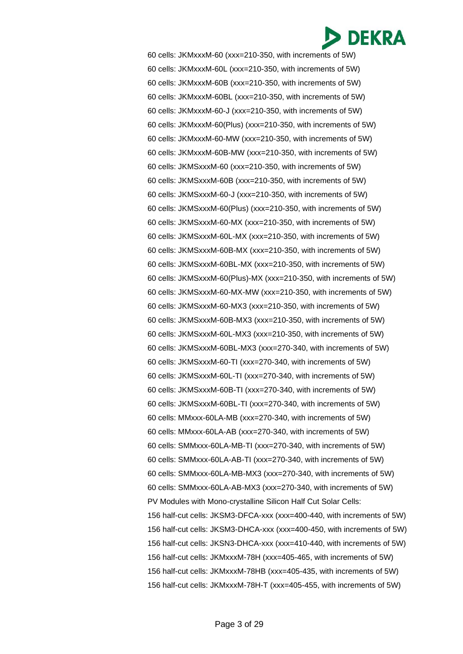60 cells: JKMxxxM-60 (xxx=210-350, with increments of 5W) 60 cells: JKMxxxM-60L (xxx=210-350, with increments of 5W) 60 cells: JKMxxxM-60B (xxx=210-350, with increments of 5W) 60 cells: JKMxxxM-60BL (xxx=210-350, with increments of 5W) 60 cells: JKMxxxM-60-J (xxx=210-350, with increments of 5W) 60 cells: JKMxxxM-60(Plus) (xxx=210-350, with increments of 5W) 60 cells: JKMxxxM-60-MW (xxx=210-350, with increments of 5W) 60 cells: JKMxxxM-60B-MW (xxx=210-350, with increments of 5W) 60 cells: JKMSxxxM-60 (xxx=210-350, with increments of 5W) 60 cells: JKMSxxxM-60B (xxx=210-350, with increments of 5W) 60 cells: JKMSxxxM-60-J (xxx=210-350, with increments of 5W) 60 cells: JKMSxxxM-60(Plus) (xxx=210-350, with increments of 5W) 60 cells: JKMSxxxM-60-MX (xxx=210-350, with increments of 5W) 60 cells: JKMSxxxM-60L-MX (xxx=210-350, with increments of 5W) 60 cells: JKMSxxxM-60B-MX (xxx=210-350, with increments of 5W) 60 cells: JKMSxxxM-60BL-MX (xxx=210-350, with increments of 5W) 60 cells: JKMSxxxM-60(Plus)-MX (xxx=210-350, with increments of 5W) 60 cells: JKMSxxxM-60-MX-MW (xxx=210-350, with increments of 5W) 60 cells: JKMSxxxM-60-MX3 (xxx=210-350, with increments of 5W) 60 cells: JKMSxxxM-60B-MX3 (xxx=210-350, with increments of 5W) 60 cells: JKMSxxxM-60L-MX3 (xxx=210-350, with increments of 5W) 60 cells: JKMSxxxM-60BL-MX3 (xxx=270-340, with increments of 5W) 60 cells: JKMSxxxM-60-TI (xxx=270-340, with increments of 5W) 60 cells: JKMSxxxM-60L-TI (xxx=270-340, with increments of 5W) 60 cells: JKMSxxxM-60B-TI (xxx=270-340, with increments of 5W) 60 cells: JKMSxxxM-60BL-TI (xxx=270-340, with increments of 5W) 60 cells: MMxxx-60LA-MB (xxx=270-340, with increments of 5W) 60 cells: MMxxx-60LA-AB (xxx=270-340, with increments of 5W) 60 cells: SMMxxx-60LA-MB-TI (xxx=270-340, with increments of 5W) 60 cells: SMMxxx-60LA-AB-TI (xxx=270-340, with increments of 5W) 60 cells: SMMxxx-60LA-MB-MX3 (xxx=270-340, with increments of 5W) 60 cells: SMMxxx-60LA-AB-MX3 (xxx=270-340, with increments of 5W) PV Modules with Mono-crystalline Silicon Half Cut Solar Cells: 156 half-cut cells: JKSM3-DFCA-xxx (xxx=400-440, with increments of 5W) 156 half-cut cells: JKSM3-DHCA-xxx (xxx=400-450, with increments of 5W) 156 half-cut cells: JKSN3-DHCA-xxx (xxx=410-440, with increments of 5W) 156 half-cut cells: JKMxxxM-78H (xxx=405-465, with increments of 5W) 156 half-cut cells: JKMxxxM-78HB (xxx=405-435, with increments of 5W) 156 half-cut cells: JKMxxxM-78H-T (xxx=405-455, with increments of 5W)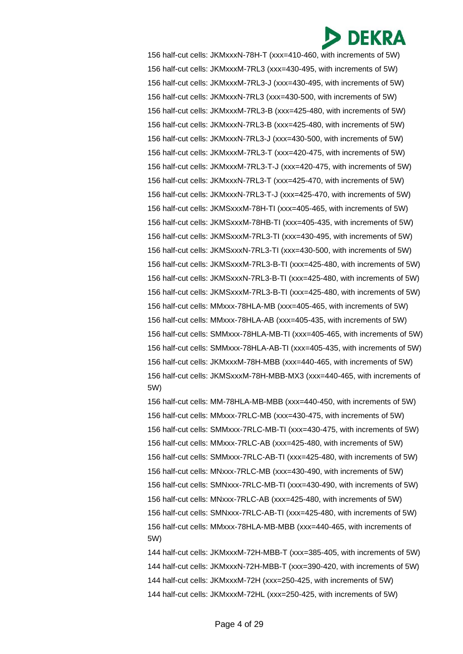156 half-cut cells: JKMxxxN-78H-T (xxx=410-460, with increments of 5W) 156 half-cut cells: JKMxxxM-7RL3 (xxx=430-495, with increments of 5W) 156 half-cut cells: JKMxxxM-7RL3-J (xxx=430-495, with increments of 5W) 156 half-cut cells: JKMxxxN-7RL3 (xxx=430-500, with increments of 5W) 156 half-cut cells: JKMxxxM-7RL3-B (xxx=425-480, with increments of 5W) 156 half-cut cells: JKMxxxN-7RL3-B (xxx=425-480, with increments of 5W) 156 half-cut cells: JKMxxxN-7RL3-J (xxx=430-500, with increments of 5W) 156 half-cut cells: JKMxxxM-7RL3-T (xxx=420-475, with increments of 5W) 156 half-cut cells: JKMxxxM-7RL3-T-J (xxx=420-475, with increments of 5W) 156 half-cut cells: JKMxxxN-7RL3-T (xxx=425-470, with increments of 5W) 156 half-cut cells: JKMxxxN-7RL3-T-J (xxx=425-470, with increments of 5W) 156 half-cut cells: JKMSxxxM-78H-TI (xxx=405-465, with increments of 5W) 156 half-cut cells: JKMSxxxM-78HB-TI (xxx=405-435, with increments of 5W) 156 half-cut cells: JKMSxxxM-7RL3-TI (xxx=430-495, with increments of 5W) 156 half-cut cells: JKMSxxxN-7RL3-TI (xxx=430-500, with increments of 5W) 156 half-cut cells: JKMSxxxM-7RL3-B-TI (xxx=425-480, with increments of 5W) 156 half-cut cells: JKMSxxxN-7RL3-B-TI (xxx=425-480, with increments of 5W) 156 half-cut cells: JKMSxxxM-7RL3-B-TI (xxx=425-480, with increments of 5W) 156 half-cut cells: MMxxx-78HLA-MB (xxx=405-465, with increments of 5W) 156 half-cut cells: MMxxx-78HLA-AB (xxx=405-435, with increments of 5W) 156 half-cut cells: SMMxxx-78HLA-MB-TI (xxx=405-465, with increments of 5W) 156 half-cut cells: SMMxxx-78HLA-AB-TI (xxx=405-435, with increments of 5W) 156 half-cut cells: JKMxxxM-78H-MBB (xxx=440-465, with increments of 5W) 156 half-cut cells: JKMSxxxM-78H-MBB-MX3 (xxx=440-465, with increments of 5W)

156 half-cut cells: MM-78HLA-MB-MBB (xxx=440-450, with increments of 5W) 156 half-cut cells: MMxxx-7RLC-MB (xxx=430-475, with increments of 5W) 156 half-cut cells: SMMxxx-7RLC-MB-TI (xxx=430-475, with increments of 5W) 156 half-cut cells: MMxxx-7RLC-AB (xxx=425-480, with increments of 5W) 156 half-cut cells: SMMxxx-7RLC-AB-TI (xxx=425-480, with increments of 5W) 156 half-cut cells: MNxxx-7RLC-MB (xxx=430-490, with increments of 5W) 156 half-cut cells: SMNxxx-7RLC-MB-TI (xxx=430-490, with increments of 5W) 156 half-cut cells: MNxxx-7RLC-AB (xxx=425-480, with increments of 5W) 156 half-cut cells: SMNxxx-7RLC-AB-TI (xxx=425-480, with increments of 5W) 156 half-cut cells: MMxxx-78HLA-MB-MBB (xxx=440-465, with increments of 5W)

144 half-cut cells: JKMxxxM-72H-MBB-T (xxx=385-405, with increments of 5W) 144 half-cut cells: JKMxxxN-72H-MBB-T (xxx=390-420, with increments of 5W) 144 half-cut cells: JKMxxxM-72H (xxx=250-425, with increments of 5W) 144 half-cut cells: JKMxxxM-72HL (xxx=250-425, with increments of 5W)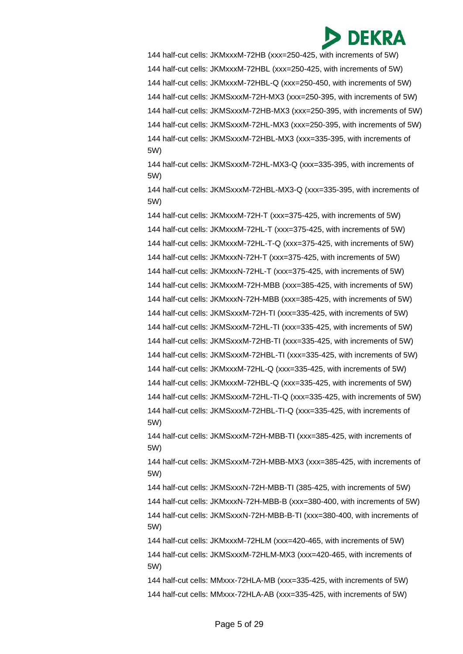

144 half-cut cells: JKMxxxM-72HB (xxx=250-425, with increments of 5W) 144 half-cut cells: JKMxxxM-72HBL (xxx=250-425, with increments of 5W) 144 half-cut cells: JKMxxxM-72HBL-Q (xxx=250-450, with increments of 5W) 144 half-cut cells: JKMSxxxM-72H-MX3 (xxx=250-395, with increments of 5W) 144 half-cut cells: JKMSxxxM-72HB-MX3 (xxx=250-395, with increments of 5W) 144 half-cut cells: JKMSxxxM-72HL-MX3 (xxx=250-395, with increments of 5W) 144 half-cut cells: JKMSxxxM-72HBL-MX3 (xxx=335-395, with increments of 5W)

144 half-cut cells: JKMSxxxM-72HL-MX3-Q (xxx=335-395, with increments of 5W)

144 half-cut cells: JKMSxxxM-72HBL-MX3-Q (xxx=335-395, with increments of 5W)

144 half-cut cells: JKMxxxM-72H-T (xxx=375-425, with increments of 5W) 144 half-cut cells: JKMxxxM-72HL-T (xxx=375-425, with increments of 5W) 144 half-cut cells: JKMxxxM-72HL-T-Q (xxx=375-425, with increments of 5W) 144 half-cut cells: JKMxxxN-72H-T (xxx=375-425, with increments of 5W) 144 half-cut cells: JKMxxxN-72HL-T (xxx=375-425, with increments of 5W) 144 half-cut cells: JKMxxxM-72H-MBB (xxx=385-425, with increments of 5W) 144 half-cut cells: JKMxxxN-72H-MBB (xxx=385-425, with increments of 5W) 144 half-cut cells: JKMSxxxM-72H-TI (xxx=335-425, with increments of 5W) 144 half-cut cells: JKMSxxxM-72HL-TI (xxx=335-425, with increments of 5W) 144 half-cut cells: JKMSxxxM-72HB-TI (xxx=335-425, with increments of 5W) 144 half-cut cells: JKMSxxxM-72HBL-TI (xxx=335-425, with increments of 5W) 144 half-cut cells: JKMxxxM-72HL-Q (xxx=335-425, with increments of 5W) 144 half-cut cells: JKMxxxM-72HBL-Q (xxx=335-425, with increments of 5W) 144 half-cut cells: JKMSxxxM-72HL-TI-Q (xxx=335-425, with increments of 5W) 144 half-cut cells: JKMSxxxM-72HBL-TI-Q (xxx=335-425, with increments of 5W)

144 half-cut cells: JKMSxxxM-72H-MBB-TI (xxx=385-425, with increments of 5W)

144 half-cut cells: JKMSxxxM-72H-MBB-MX3 (xxx=385-425, with increments of 5W)

144 half-cut cells: JKMSxxxN-72H-MBB-TI (385-425, with increments of 5W)

144 half-cut cells: JKMxxxN-72H-MBB-B (xxx=380-400, with increments of 5W)

144 half-cut cells: JKMSxxxN-72H-MBB-B-TI (xxx=380-400, with increments of 5W)

144 half-cut cells: JKMxxxM-72HLM (xxx=420-465, with increments of 5W) 144 half-cut cells: JKMSxxxM-72HLM-MX3 (xxx=420-465, with increments of 5W)

144 half-cut cells: MMxxx-72HLA-MB (xxx=335-425, with increments of 5W) 144 half-cut cells: MMxxx-72HLA-AB (xxx=335-425, with increments of 5W)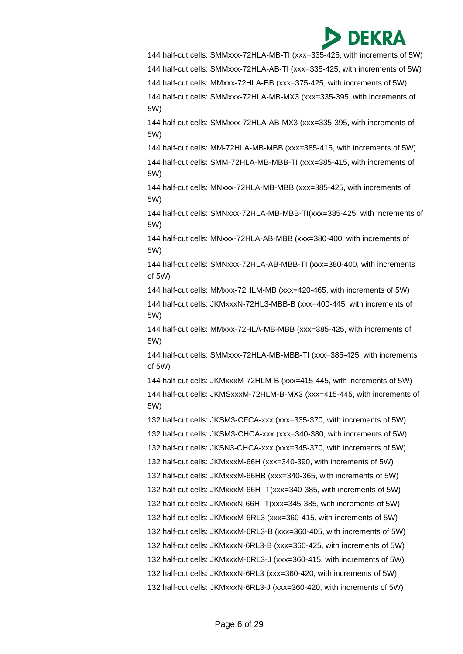144 half-cut cells: SMMxxx-72HLA-MB-TI (xxx=335-425, with increments of 5W)

144 half-cut cells: SMMxxx-72HLA-AB-TI (xxx=335-425, with increments of 5W)

144 half-cut cells: MMxxx-72HLA-BB (xxx=375-425, with increments of 5W)

144 half-cut cells: SMMxxx-72HLA-MB-MX3 (xxx=335-395, with increments of 5W)

144 half-cut cells: SMMxxx-72HLA-AB-MX3 (xxx=335-395, with increments of 5W)

144 half-cut cells: MM-72HLA-MB-MBB (xxx=385-415, with increments of 5W)

144 half-cut cells: SMM-72HLA-MB-MBB-TI (xxx=385-415, with increments of 5W)

144 half-cut cells: MNxxx-72HLA-MB-MBB (xxx=385-425, with increments of 5W)

144 half-cut cells: SMNxxx-72HLA-MB-MBB-TI(xxx=385-425, with increments of 5W)

144 half-cut cells: MNxxx-72HLA-AB-MBB (xxx=380-400, with increments of 5W)

144 half-cut cells: SMNxxx-72HLA-AB-MBB-TI (xxx=380-400, with increments of 5W)

144 half-cut cells: MMxxx-72HLM-MB (xxx=420-465, with increments of 5W) 144 half-cut cells: JKMxxxN-72HL3-MBB-B (xxx=400-445, with increments of 5W)

144 half-cut cells: MMxxx-72HLA-MB-MBB (xxx=385-425, with increments of 5W)

144 half-cut cells: SMMxxx-72HLA-MB-MBB-TI (xxx=385-425, with increments of 5W)

144 half-cut cells: JKMxxxM-72HLM-B (xxx=415-445, with increments of 5W) 144 half-cut cells: JKMSxxxM-72HLM-B-MX3 (xxx=415-445, with increments of 5W)

132 half-cut cells: JKSM3-CFCA-xxx (xxx=335-370, with increments of 5W)

132 half-cut cells: JKSM3-CHCA-xxx (xxx=340-380, with increments of 5W)

132 half-cut cells: JKSN3-CHCA-xxx (xxx=345-370, with increments of 5W)

132 half-cut cells: JKMxxxM-66H (xxx=340-390, with increments of 5W)

132 half-cut cells: JKMxxxM-66HB (xxx=340-365, with increments of 5W)

132 half-cut cells: JKMxxxM-66H -T(xxx=340-385, with increments of 5W)

132 half-cut cells: JKMxxxN-66H -T(xxx=345-385, with increments of 5W)

132 half-cut cells: JKMxxxM-6RL3 (xxx=360-415, with increments of 5W)

132 half-cut cells: JKMxxxM-6RL3-B (xxx=360-405, with increments of 5W)

132 half-cut cells: JKMxxxN-6RL3-B (xxx=360-425, with increments of 5W)

132 half-cut cells: JKMxxxM-6RL3-J (xxx=360-415, with increments of 5W)

132 half-cut cells: JKMxxxN-6RL3 (xxx=360-420, with increments of 5W)

132 half-cut cells: JKMxxxN-6RL3-J (xxx=360-420, with increments of 5W)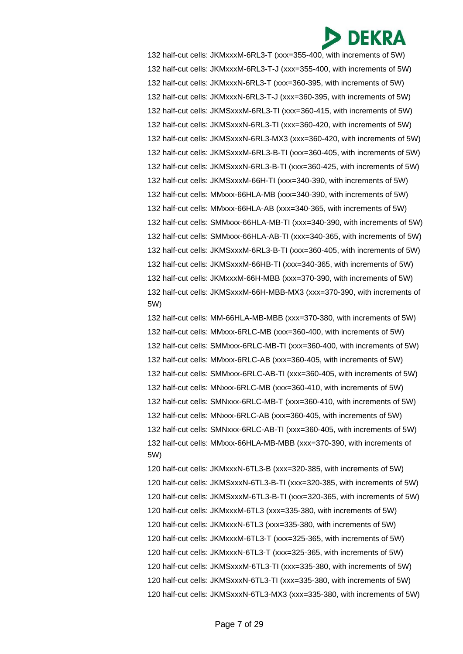132 half-cut cells: JKMxxxM-6RL3-T (xxx=355-400, with increments of 5W) 132 half-cut cells: JKMxxxM-6RL3-T-J (xxx=355-400, with increments of 5W) 132 half-cut cells: JKMxxxN-6RL3-T (xxx=360-395, with increments of 5W) 132 half-cut cells: JKMxxxN-6RL3-T-J (xxx=360-395, with increments of 5W) 132 half-cut cells: JKMSxxxM-6RL3-TI (xxx=360-415, with increments of 5W) 132 half-cut cells: JKMSxxxN-6RL3-TI (xxx=360-420, with increments of 5W) 132 half-cut cells: JKMSxxxN-6RL3-MX3 (xxx=360-420, with increments of 5W) 132 half-cut cells: JKMSxxxM-6RL3-B-TI (xxx=360-405, with increments of 5W) 132 half-cut cells: JKMSxxxN-6RL3-B-TI (xxx=360-425, with increments of 5W) 132 half-cut cells: JKMSxxxM-66H-TI (xxx=340-390, with increments of 5W) 132 half-cut cells: MMxxx-66HLA-MB (xxx=340-390, with increments of 5W) 132 half-cut cells: MMxxx-66HLA-AB (xxx=340-365, with increments of 5W) 132 half-cut cells: SMMxxx-66HLA-MB-TI (xxx=340-390, with increments of 5W) 132 half-cut cells: SMMxxx-66HLA-AB-TI (xxx=340-365, with increments of 5W) 132 half-cut cells: JKMSxxxM-6RL3-B-TI (xxx=360-405, with increments of 5W) 132 half-cut cells: JKMSxxxM-66HB-TI (xxx=340-365, with increments of 5W) 132 half-cut cells: JKMxxxM-66H-MBB (xxx=370-390, with increments of 5W) 132 half-cut cells: JKMSxxxM-66H-MBB-MX3 (xxx=370-390, with increments of 5W)

132 half-cut cells: MM-66HLA-MB-MBB (xxx=370-380, with increments of 5W) 132 half-cut cells: MMxxx-6RLC-MB (xxx=360-400, with increments of 5W) 132 half-cut cells: SMMxxx-6RLC-MB-TI (xxx=360-400, with increments of 5W) 132 half-cut cells: MMxxx-6RLC-AB (xxx=360-405, with increments of 5W) 132 half-cut cells: SMMxxx-6RLC-AB-TI (xxx=360-405, with increments of 5W) 132 half-cut cells: MNxxx-6RLC-MB (xxx=360-410, with increments of 5W) 132 half-cut cells: SMNxxx-6RLC-MB-T (xxx=360-410, with increments of 5W) 132 half-cut cells: MNxxx-6RLC-AB (xxx=360-405, with increments of 5W) 132 half-cut cells: SMNxxx-6RLC-AB-TI (xxx=360-405, with increments of 5W) 132 half-cut cells: MMxxx-66HLA-MB-MBB (xxx=370-390, with increments of 5W)

120 half-cut cells: JKMxxxN-6TL3-B (xxx=320-385, with increments of 5W) 120 half-cut cells: JKMSxxxN-6TL3-B-TI (xxx=320-385, with increments of 5W) 120 half-cut cells: JKMSxxxM-6TL3-B-TI (xxx=320-365, with increments of 5W) 120 half-cut cells: JKMxxxM-6TL3 (xxx=335-380, with increments of 5W) 120 half-cut cells: JKMxxxN-6TL3 (xxx=335-380, with increments of 5W) 120 half-cut cells: JKMxxxM-6TL3-T (xxx=325-365, with increments of 5W) 120 half-cut cells: JKMxxxN-6TL3-T (xxx=325-365, with increments of 5W) 120 half-cut cells: JKMSxxxM-6TL3-TI (xxx=335-380, with increments of 5W) 120 half-cut cells: JKMSxxxN-6TL3-TI (xxx=335-380, with increments of 5W) 120 half-cut cells: JKMSxxxN-6TL3-MX3 (xxx=335-380, with increments of 5W)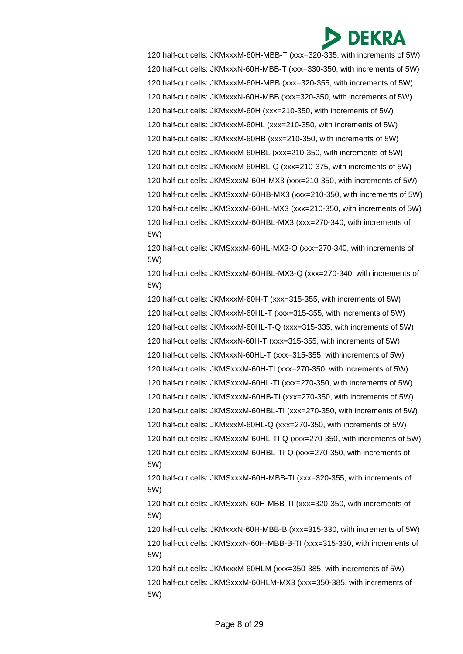120 half-cut cells: JKMxxxM-60H-MBB-T (xxx=320-335, with increments of 5W) 120 half-cut cells: JKMxxxN-60H-MBB-T (xxx=330-350, with increments of 5W) 120 half-cut cells: JKMxxxM-60H-MBB (xxx=320-355, with increments of 5W) 120 half-cut cells: JKMxxxN-60H-MBB (xxx=320-350, with increments of 5W) 120 half-cut cells: JKMxxxM-60H (xxx=210-350, with increments of 5W) 120 half-cut cells: JKMxxxM-60HL (xxx=210-350, with increments of 5W) 120 half-cut cells: JKMxxxM-60HB (xxx=210-350, with increments of 5W) 120 half-cut cells: JKMxxxM-60HBL (xxx=210-350, with increments of 5W) 120 half-cut cells: JKMxxxM-60HBL-Q (xxx=210-375, with increments of 5W) 120 half-cut cells: JKMSxxxM-60H-MX3 (xxx=210-350, with increments of 5W) 120 half-cut cells: JKMSxxxM-60HB-MX3 (xxx=210-350, with increments of 5W) 120 half-cut cells: JKMSxxxM-60HL-MX3 (xxx=210-350, with increments of 5W) 120 half-cut cells: JKMSxxxM-60HBL-MX3 (xxx=270-340, with increments of 5W)

120 half-cut cells: JKMSxxxM-60HL-MX3-Q (xxx=270-340, with increments of 5W)

120 half-cut cells: JKMSxxxM-60HBL-MX3-Q (xxx=270-340, with increments of 5W)

120 half-cut cells: JKMxxxM-60H-T (xxx=315-355, with increments of 5W) 120 half-cut cells: JKMxxxM-60HL-T (xxx=315-355, with increments of 5W) 120 half-cut cells: JKMxxxM-60HL-T-Q (xxx=315-335, with increments of 5W) 120 half-cut cells: JKMxxxN-60H-T (xxx=315-355, with increments of 5W) 120 half-cut cells: JKMxxxN-60HL-T (xxx=315-355, with increments of 5W) 120 half-cut cells: JKMSxxxM-60H-TI (xxx=270-350, with increments of 5W) 120 half-cut cells: JKMSxxxM-60HL-TI (xxx=270-350, with increments of 5W) 120 half-cut cells: JKMSxxxM-60HB-TI (xxx=270-350, with increments of 5W) 120 half-cut cells: JKMSxxxM-60HBL-TI (xxx=270-350, with increments of 5W) 120 half-cut cells: JKMxxxM-60HL-Q (xxx=270-350, with increments of 5W) 120 half-cut cells: JKMSxxxM-60HL-TI-Q (xxx=270-350, with increments of 5W) 120 half-cut cells: JKMSxxxM-60HBL-TI-Q (xxx=270-350, with increments of 5W) 120 half-cut cells: JKMSxxxM-60H-MBB-TI (xxx=320-355, with increments of 5W)

120 half-cut cells: JKMSxxxN-60H-MBB-TI (xxx=320-350, with increments of 5W)

120 half-cut cells: JKMxxxN-60H-MBB-B (xxx=315-330, with increments of 5W) 120 half-cut cells: JKMSxxxN-60H-MBB-B-TI (xxx=315-330, with increments of 5W)

120 half-cut cells: JKMxxxM-60HLM (xxx=350-385, with increments of 5W) 120 half-cut cells: JKMSxxxM-60HLM-MX3 (xxx=350-385, with increments of 5W)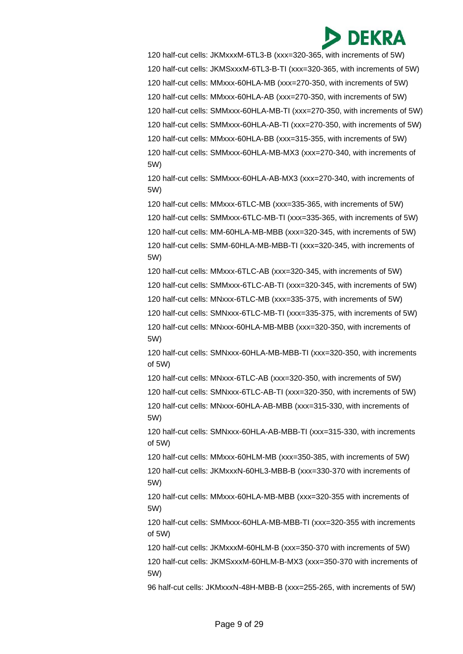120 half-cut cells: JKMxxxM-6TL3-B (xxx=320-365, with increments of 5W) 120 half-cut cells: JKMSxxxM-6TL3-B-TI (xxx=320-365, with increments of 5W) 120 half-cut cells: MMxxx-60HLA-MB (xxx=270-350, with increments of 5W) 120 half-cut cells: MMxxx-60HLA-AB (xxx=270-350, with increments of 5W) 120 half-cut cells: SMMxxx-60HLA-MB-TI (xxx=270-350, with increments of 5W) 120 half-cut cells: SMMxxx-60HLA-AB-TI (xxx=270-350, with increments of 5W) 120 half-cut cells: MMxxx-60HLA-BB (xxx=315-355, with increments of 5W) 120 half-cut cells: SMMxxx-60HLA-MB-MX3 (xxx=270-340, with increments of 5W)

120 half-cut cells: SMMxxx-60HLA-AB-MX3 (xxx=270-340, with increments of 5W)

120 half-cut cells: MMxxx-6TLC-MB (xxx=335-365, with increments of 5W) 120 half-cut cells: SMMxxx-6TLC-MB-TI (xxx=335-365, with increments of 5W) 120 half-cut cells: MM-60HLA-MB-MBB (xxx=320-345, with increments of 5W) 120 half-cut cells: SMM-60HLA-MB-MBB-TI (xxx=320-345, with increments of 5W)

120 half-cut cells: MMxxx-6TLC-AB (xxx=320-345, with increments of 5W)

120 half-cut cells: SMMxxx-6TLC-AB-TI (xxx=320-345, with increments of 5W)

120 half-cut cells: MNxxx-6TLC-MB (xxx=335-375, with increments of 5W)

120 half-cut cells: SMNxxx-6TLC-MB-TI (xxx=335-375, with increments of 5W)

120 half-cut cells: MNxxx-60HLA-MB-MBB (xxx=320-350, with increments of 5W)

120 half-cut cells: SMNxxx-60HLA-MB-MBB-TI (xxx=320-350, with increments of 5W)

120 half-cut cells: MNxxx-6TLC-AB (xxx=320-350, with increments of 5W)

120 half-cut cells: SMNxxx-6TLC-AB-TI (xxx=320-350, with increments of 5W) 120 half-cut cells: MNxxx-60HLA-AB-MBB (xxx=315-330, with increments of

120 half-cut cells: SMNxxx-60HLA-AB-MBB-TI (xxx=315-330, with increments of 5W)

120 half-cut cells: MMxxx-60HLM-MB (xxx=350-385, with increments of 5W)

120 half-cut cells: JKMxxxN-60HL3-MBB-B (xxx=330-370 with increments of 5W)

120 half-cut cells: MMxxx-60HLA-MB-MBB (xxx=320-355 with increments of 5W)

120 half-cut cells: SMMxxx-60HLA-MB-MBB-TI (xxx=320-355 with increments of 5W)

120 half-cut cells: JKMxxxM-60HLM-B (xxx=350-370 with increments of 5W)

120 half-cut cells: JKMSxxxM-60HLM-B-MX3 (xxx=350-370 with increments of 5W)

96 half-cut cells: JKMxxxN-48H-MBB-B (xxx=255-265, with increments of 5W)

5W)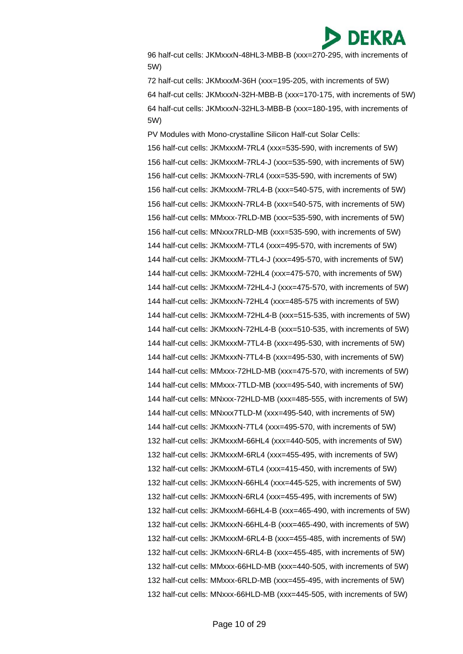

96 half-cut cells: JKMxxxN-48HL3-MBB-B (xxx=270-295, with increments of 5W)

72 half-cut cells: JKMxxxM-36H (xxx=195-205, with increments of 5W) 64 half-cut cells: JKMxxxN-32H-MBB-B (xxx=170-175, with increments of 5W) 64 half-cut cells: JKMxxxN-32HL3-MBB-B (xxx=180-195, with increments of 5W)

PV Modules with Mono-crystalline Silicon Half-cut Solar Cells: 156 half-cut cells: JKMxxxM-7RL4 (xxx=535-590, with increments of 5W) 156 half-cut cells: JKMxxxM-7RL4-J (xxx=535-590, with increments of 5W) 156 half-cut cells: JKMxxxN-7RL4 (xxx=535-590, with increments of 5W) 156 half-cut cells: JKMxxxM-7RL4-B (xxx=540-575, with increments of 5W) 156 half-cut cells: JKMxxxN-7RL4-B (xxx=540-575, with increments of 5W) 156 half-cut cells: MMxxx-7RLD-MB (xxx=535-590, with increments of 5W) 156 half-cut cells: MNxxx7RLD-MB (xxx=535-590, with increments of 5W) 144 half-cut cells: JKMxxxM-7TL4 (xxx=495-570, with increments of 5W) 144 half-cut cells: JKMxxxM-7TL4-J (xxx=495-570, with increments of 5W) 144 half-cut cells: JKMxxxM-72HL4 (xxx=475-570, with increments of 5W) 144 half-cut cells: JKMxxxM-72HL4-J (xxx=475-570, with increments of 5W) 144 half-cut cells: JKMxxxN-72HL4 (xxx=485-575 with increments of 5W) 144 half-cut cells: JKMxxxM-72HL4-B (xxx=515-535, with increments of 5W) 144 half-cut cells: JKMxxxN-72HL4-B (xxx=510-535, with increments of 5W) 144 half-cut cells: JKMxxxM-7TL4-B (xxx=495-530, with increments of 5W) 144 half-cut cells: JKMxxxN-7TL4-B (xxx=495-530, with increments of 5W) 144 half-cut cells: MMxxx-72HLD-MB (xxx=475-570, with increments of 5W) 144 half-cut cells: MMxxx-7TLD-MB (xxx=495-540, with increments of 5W) 144 half-cut cells: MNxxx-72HLD-MB (xxx=485-555, with increments of 5W) 144 half-cut cells: MNxxx7TLD-M (xxx=495-540, with increments of 5W) 144 half-cut cells: JKMxxxN-7TL4 (xxx=495-570, with increments of 5W) 132 half-cut cells: JKMxxxM-66HL4 (xxx=440-505, with increments of 5W) 132 half-cut cells: JKMxxxM-6RL4 (xxx=455-495, with increments of 5W) 132 half-cut cells: JKMxxxM-6TL4 (xxx=415-450, with increments of 5W) 132 half-cut cells: JKMxxxN-66HL4 (xxx=445-525, with increments of 5W) 132 half-cut cells: JKMxxxN-6RL4 (xxx=455-495, with increments of 5W) 132 half-cut cells: JKMxxxM-66HL4-B (xxx=465-490, with increments of 5W) 132 half-cut cells: JKMxxxN-66HL4-B (xxx=465-490, with increments of 5W) 132 half-cut cells: JKMxxxM-6RL4-B (xxx=455-485, with increments of 5W) 132 half-cut cells: JKMxxxN-6RL4-B (xxx=455-485, with increments of 5W) 132 half-cut cells: MMxxx-66HLD-MB (xxx=440-505, with increments of 5W) 132 half-cut cells: MMxxx-6RLD-MB (xxx=455-495, with increments of 5W) 132 half-cut cells: MNxxx-66HLD-MB (xxx=445-505, with increments of 5W)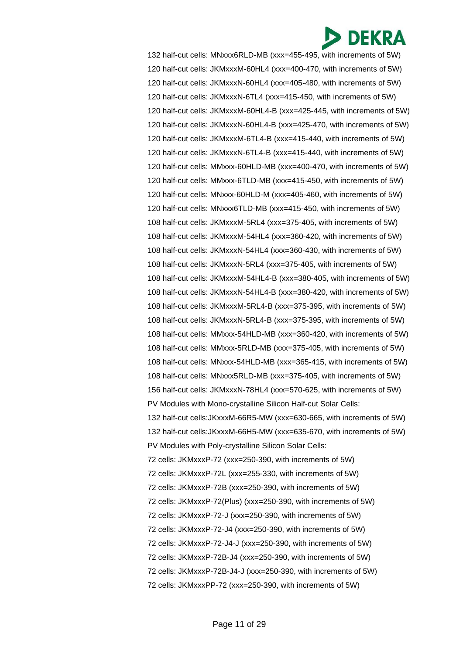132 half-cut cells: MNxxx6RLD-MB (xxx=455-495, with increments of 5W) 120 half-cut cells: JKMxxxM-60HL4 (xxx=400-470, with increments of 5W) 120 half-cut cells: JKMxxxN-60HL4 (xxx=405-480, with increments of 5W) 120 half-cut cells: JKMxxxN-6TL4 (xxx=415-450, with increments of 5W) 120 half-cut cells: JKMxxxM-60HL4-B (xxx=425-445, with increments of 5W) 120 half-cut cells: JKMxxxN-60HL4-B (xxx=425-470, with increments of 5W) 120 half-cut cells: JKMxxxM-6TL4-B (xxx=415-440, with increments of 5W) 120 half-cut cells: JKMxxxN-6TL4-B (xxx=415-440, with increments of 5W) 120 half-cut cells: MMxxx-60HLD-MB (xxx=400-470, with increments of 5W) 120 half-cut cells: MMxxx-6TLD-MB (xxx=415-450, with increments of 5W) 120 half-cut cells: MNxxx-60HLD-M (xxx=405-460, with increments of 5W) 120 half-cut cells: MNxxx6TLD-MB (xxx=415-450, with increments of 5W) 108 half-cut cells: JKMxxxM-5RL4 (xxx=375-405, with increments of 5W) 108 half-cut cells: JKMxxxM-54HL4 (xxx=360-420, with increments of 5W) 108 half-cut cells: JKMxxxN-54HL4 (xxx=360-430, with increments of 5W) 108 half-cut cells: JKMxxxN-5RL4 (xxx=375-405, with increments of 5W) 108 half-cut cells: JKMxxxM-54HL4-B (xxx=380-405, with increments of 5W) 108 half-cut cells: JKMxxxN-54HL4-B (xxx=380-420, with increments of 5W) 108 half-cut cells: JKMxxxM-5RL4-B (xxx=375-395, with increments of 5W) 108 half-cut cells: JKMxxxN-5RL4-B (xxx=375-395, with increments of 5W) 108 half-cut cells: MMxxx-54HLD-MB (xxx=360-420, with increments of 5W) 108 half-cut cells: MMxxx-5RLD-MB (xxx=375-405, with increments of 5W) 108 half-cut cells: MNxxx-54HLD-MB (xxx=365-415, with increments of 5W) 108 half-cut cells: MNxxx5RLD-MB (xxx=375-405, with increments of 5W) 156 half-cut cells: JKMxxxN-78HL4 (xxx=570-625, with increments of 5W) PV Modules with Mono-crystalline Silicon Half-cut Solar Cells: 132 half-cut cells:JKxxxM-66R5-MW (xxx=630-665, with increments of 5W) 132 half-cut cells:JKxxxM-66H5-MW (xxx=635-670, with increments of 5W) PV Modules with Poly-crystalline Silicon Solar Cells: 72 cells: JKMxxxP-72 (xxx=250-390, with increments of 5W) 72 cells: JKMxxxP-72L (xxx=255-330, with increments of 5W) 72 cells: JKMxxxP-72B (xxx=250-390, with increments of 5W) 72 cells: JKMxxxP-72(Plus) (xxx=250-390, with increments of 5W) 72 cells: JKMxxxP-72-J (xxx=250-390, with increments of 5W) 72 cells: JKMxxxP-72-J4 (xxx=250-390, with increments of 5W) 72 cells: JKMxxxP-72-J4-J (xxx=250-390, with increments of 5W) 72 cells: JKMxxxP-72B-J4 (xxx=250-390, with increments of 5W) 72 cells: JKMxxxP-72B-J4-J (xxx=250-390, with increments of 5W) 72 cells: JKMxxxPP-72 (xxx=250-390, with increments of 5W)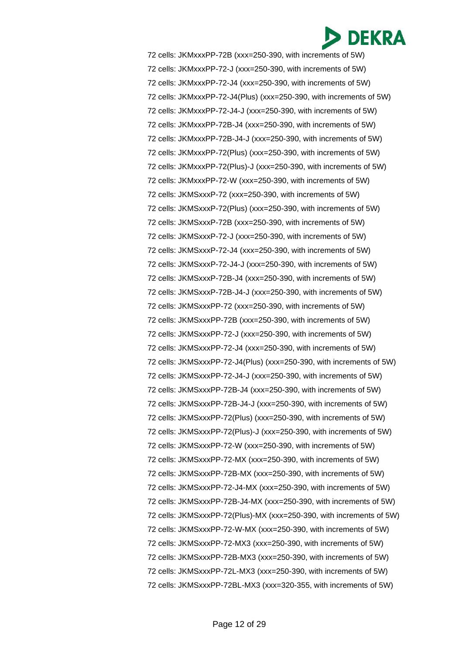72 cells: JKMxxxPP-72B (xxx=250-390, with increments of 5W) 72 cells: JKMxxxPP-72-J (xxx=250-390, with increments of 5W) 72 cells: JKMxxxPP-72-J4 (xxx=250-390, with increments of 5W) 72 cells: JKMxxxPP-72-J4(Plus) (xxx=250-390, with increments of 5W) 72 cells: JKMxxxPP-72-J4-J (xxx=250-390, with increments of 5W) 72 cells: JKMxxxPP-72B-J4 (xxx=250-390, with increments of 5W) 72 cells: JKMxxxPP-72B-J4-J (xxx=250-390, with increments of 5W) 72 cells: JKMxxxPP-72(Plus) (xxx=250-390, with increments of 5W) 72 cells: JKMxxxPP-72(Plus)-J (xxx=250-390, with increments of 5W) 72 cells: JKMxxxPP-72-W (xxx=250-390, with increments of 5W) 72 cells: JKMSxxxP-72 (xxx=250-390, with increments of 5W) 72 cells: JKMSxxxP-72(Plus) (xxx=250-390, with increments of 5W) 72 cells: JKMSxxxP-72B (xxx=250-390, with increments of 5W) 72 cells: JKMSxxxP-72-J (xxx=250-390, with increments of 5W) 72 cells: JKMSxxxP-72-J4 (xxx=250-390, with increments of 5W) 72 cells: JKMSxxxP-72-J4-J (xxx=250-390, with increments of 5W) 72 cells: JKMSxxxP-72B-J4 (xxx=250-390, with increments of 5W) 72 cells: JKMSxxxP-72B-J4-J (xxx=250-390, with increments of 5W) 72 cells: JKMSxxxPP-72 (xxx=250-390, with increments of 5W) 72 cells: JKMSxxxPP-72B (xxx=250-390, with increments of 5W) 72 cells: JKMSxxxPP-72-J (xxx=250-390, with increments of 5W) 72 cells: JKMSxxxPP-72-J4 (xxx=250-390, with increments of 5W) 72 cells: JKMSxxxPP-72-J4(Plus) (xxx=250-390, with increments of 5W) 72 cells: JKMSxxxPP-72-J4-J (xxx=250-390, with increments of 5W) 72 cells: JKMSxxxPP-72B-J4 (xxx=250-390, with increments of 5W) 72 cells: JKMSxxxPP-72B-J4-J (xxx=250-390, with increments of 5W) 72 cells: JKMSxxxPP-72(Plus) (xxx=250-390, with increments of 5W) 72 cells: JKMSxxxPP-72(Plus)-J (xxx=250-390, with increments of 5W) 72 cells: JKMSxxxPP-72-W (xxx=250-390, with increments of 5W) 72 cells: JKMSxxxPP-72-MX (xxx=250-390, with increments of 5W) 72 cells: JKMSxxxPP-72B-MX (xxx=250-390, with increments of 5W) 72 cells: JKMSxxxPP-72-J4-MX (xxx=250-390, with increments of 5W) 72 cells: JKMSxxxPP-72B-J4-MX (xxx=250-390, with increments of 5W) 72 cells: JKMSxxxPP-72(Plus)-MX (xxx=250-390, with increments of 5W) 72 cells: JKMSxxxPP-72-W-MX (xxx=250-390, with increments of 5W) 72 cells: JKMSxxxPP-72-MX3 (xxx=250-390, with increments of 5W) 72 cells: JKMSxxxPP-72B-MX3 (xxx=250-390, with increments of 5W) 72 cells: JKMSxxxPP-72L-MX3 (xxx=250-390, with increments of 5W) 72 cells: JKMSxxxPP-72BL-MX3 (xxx=320-355, with increments of 5W)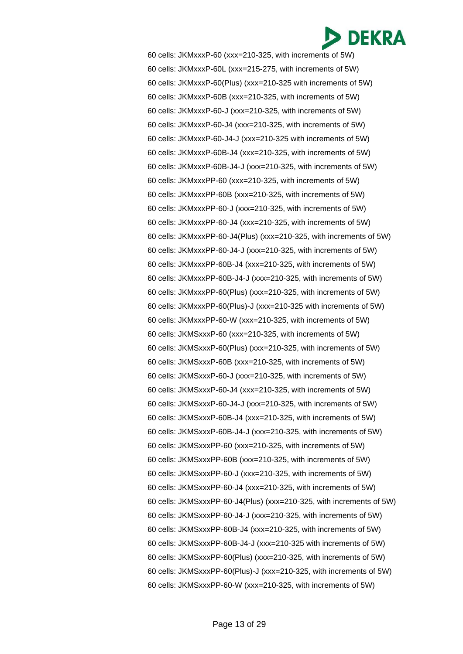60 cells: JKMxxxP-60 (xxx=210-325, with increments of 5W) 60 cells: JKMxxxP-60L (xxx=215-275, with increments of 5W) 60 cells: JKMxxxP-60(Plus) (xxx=210-325 with increments of 5W) 60 cells: JKMxxxP-60B (xxx=210-325, with increments of 5W) 60 cells: JKMxxxP-60-J (xxx=210-325, with increments of 5W) 60 cells: JKMxxxP-60-J4 (xxx=210-325, with increments of 5W) 60 cells: JKMxxxP-60-J4-J (xxx=210-325 with increments of 5W) 60 cells: JKMxxxP-60B-J4 (xxx=210-325, with increments of 5W) 60 cells: JKMxxxP-60B-J4-J (xxx=210-325, with increments of 5W) 60 cells: JKMxxxPP-60 (xxx=210-325, with increments of 5W) 60 cells: JKMxxxPP-60B (xxx=210-325, with increments of 5W) 60 cells: JKMxxxPP-60-J (xxx=210-325, with increments of 5W) 60 cells: JKMxxxPP-60-J4 (xxx=210-325, with increments of 5W) 60 cells: JKMxxxPP-60-J4(Plus) (xxx=210-325, with increments of 5W) 60 cells: JKMxxxPP-60-J4-J (xxx=210-325, with increments of 5W) 60 cells: JKMxxxPP-60B-J4 (xxx=210-325, with increments of 5W) 60 cells: JKMxxxPP-60B-J4-J (xxx=210-325, with increments of 5W) 60 cells: JKMxxxPP-60(Plus) (xxx=210-325, with increments of 5W) 60 cells: JKMxxxPP-60(Plus)-J (xxx=210-325 with increments of 5W) 60 cells: JKMxxxPP-60-W (xxx=210-325, with increments of 5W) 60 cells: JKMSxxxP-60 (xxx=210-325, with increments of 5W) 60 cells: JKMSxxxP-60(Plus) (xxx=210-325, with increments of 5W) 60 cells: JKMSxxxP-60B (xxx=210-325, with increments of 5W) 60 cells: JKMSxxxP-60-J (xxx=210-325, with increments of 5W) 60 cells: JKMSxxxP-60-J4 (xxx=210-325, with increments of 5W) 60 cells: JKMSxxxP-60-J4-J (xxx=210-325, with increments of 5W) 60 cells: JKMSxxxP-60B-J4 (xxx=210-325, with increments of 5W) 60 cells: JKMSxxxP-60B-J4-J (xxx=210-325, with increments of 5W) 60 cells: JKMSxxxPP-60 (xxx=210-325, with increments of 5W) 60 cells: JKMSxxxPP-60B (xxx=210-325, with increments of 5W) 60 cells: JKMSxxxPP-60-J (xxx=210-325, with increments of 5W) 60 cells: JKMSxxxPP-60-J4 (xxx=210-325, with increments of 5W) 60 cells: JKMSxxxPP-60-J4(Plus) (xxx=210-325, with increments of 5W) 60 cells: JKMSxxxPP-60-J4-J (xxx=210-325, with increments of 5W) 60 cells: JKMSxxxPP-60B-J4 (xxx=210-325, with increments of 5W) 60 cells: JKMSxxxPP-60B-J4-J (xxx=210-325 with increments of 5W) 60 cells: JKMSxxxPP-60(Plus) (xxx=210-325, with increments of 5W) 60 cells: JKMSxxxPP-60(Plus)-J (xxx=210-325, with increments of 5W) 60 cells: JKMSxxxPP-60-W (xxx=210-325, with increments of 5W)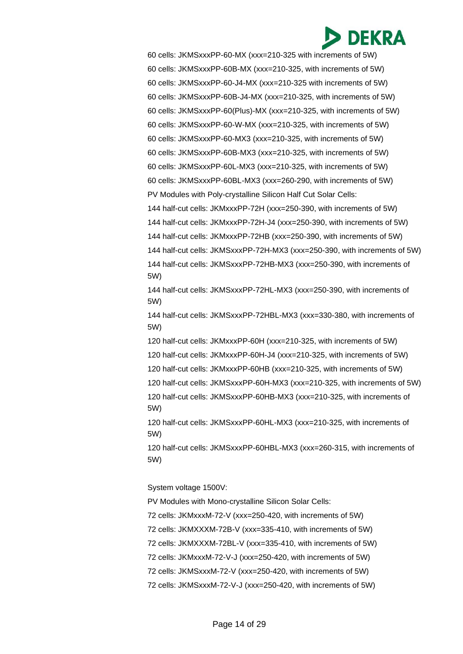60 cells: JKMSxxxPP-60-MX (xxx=210-325 with increments of 5W) 60 cells: JKMSxxxPP-60B-MX (xxx=210-325, with increments of 5W) 60 cells: JKMSxxxPP-60-J4-MX (xxx=210-325 with increments of 5W) 60 cells: JKMSxxxPP-60B-J4-MX (xxx=210-325, with increments of 5W) 60 cells: JKMSxxxPP-60(Plus)-MX (xxx=210-325, with increments of 5W) 60 cells: JKMSxxxPP-60-W-MX (xxx=210-325, with increments of 5W) 60 cells: JKMSxxxPP-60-MX3 (xxx=210-325, with increments of 5W) 60 cells: JKMSxxxPP-60B-MX3 (xxx=210-325, with increments of 5W) 60 cells: JKMSxxxPP-60L-MX3 (xxx=210-325, with increments of 5W) 60 cells: JKMSxxxPP-60BL-MX3 (xxx=260-290, with increments of 5W) PV Modules with Poly-crystalline Silicon Half Cut Solar Cells: 144 half-cut cells: JKMxxxPP-72H (xxx=250-390, with increments of 5W) 144 half-cut cells: JKMxxxPP-72H-J4 (xxx=250-390, with increments of 5W) 144 half-cut cells: JKMxxxPP-72HB (xxx=250-390, with increments of 5W) 144 half-cut cells: JKMSxxxPP-72H-MX3 (xxx=250-390, with increments of 5W) 144 half-cut cells: JKMSxxxPP-72HB-MX3 (xxx=250-390, with increments of 5W)

144 half-cut cells: JKMSxxxPP-72HL-MX3 (xxx=250-390, with increments of 5W)

144 half-cut cells: JKMSxxxPP-72HBL-MX3 (xxx=330-380, with increments of 5W)

120 half-cut cells: JKMxxxPP-60H (xxx=210-325, with increments of 5W)

120 half-cut cells: JKMxxxPP-60H-J4 (xxx=210-325, with increments of 5W)

120 half-cut cells: JKMxxxPP-60HB (xxx=210-325, with increments of 5W)

120 half-cut cells: JKMSxxxPP-60H-MX3 (xxx=210-325, with increments of 5W)

120 half-cut cells: JKMSxxxPP-60HB-MX3 (xxx=210-325, with increments of 5W)

120 half-cut cells: JKMSxxxPP-60HL-MX3 (xxx=210-325, with increments of 5W)

120 half-cut cells: JKMSxxxPP-60HBL-MX3 (xxx=260-315, with increments of 5W)

System voltage 1500V:

PV Modules with Mono-crystalline Silicon Solar Cells:

72 cells: JKMxxxM-72-V (xxx=250-420, with increments of 5W)

72 cells: JKMXXXM-72B-V (xxx=335-410, with increments of 5W)

72 cells: JKMXXXM-72BL-V (xxx=335-410, with increments of 5W)

72 cells: JKMxxxM-72-V-J (xxx=250-420, with increments of 5W)

72 cells: JKMSxxxM-72-V (xxx=250-420, with increments of 5W)

72 cells: JKMSxxxM-72-V-J (xxx=250-420, with increments of 5W)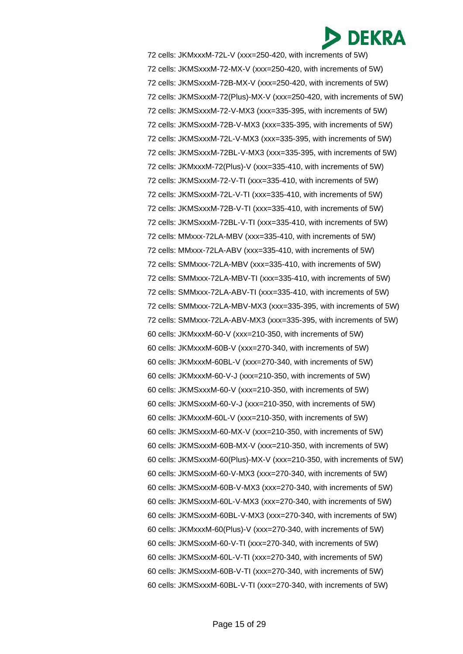72 cells: JKMxxxM-72L-V (xxx=250-420, with increments of 5W) 72 cells: JKMSxxxM-72-MX-V (xxx=250-420, with increments of 5W) 72 cells: JKMSxxxM-72B-MX-V (xxx=250-420, with increments of 5W) 72 cells: JKMSxxxM-72(Plus)-MX-V (xxx=250-420, with increments of 5W) 72 cells: JKMSxxxM-72-V-MX3 (xxx=335-395, with increments of 5W) 72 cells: JKMSxxxM-72B-V-MX3 (xxx=335-395, with increments of 5W) 72 cells: JKMSxxxM-72L-V-MX3 (xxx=335-395, with increments of 5W) 72 cells: JKMSxxxM-72BL-V-MX3 (xxx=335-395, with increments of 5W) 72 cells: JKMxxxM-72(Plus)-V (xxx=335-410, with increments of 5W) 72 cells: JKMSxxxM-72-V-TI (xxx=335-410, with increments of 5W) 72 cells: JKMSxxxM-72L-V-TI (xxx=335-410, with increments of 5W) 72 cells: JKMSxxxM-72B-V-TI (xxx=335-410, with increments of 5W) 72 cells: JKMSxxxM-72BL-V-TI (xxx=335-410, with increments of 5W) 72 cells: MMxxx-72LA-MBV (xxx=335-410, with increments of 5W) 72 cells: MMxxx-72LA-ABV (xxx=335-410, with increments of 5W) 72 cells: SMMxxx-72LA-MBV (xxx=335-410, with increments of 5W) 72 cells: SMMxxx-72LA-MBV-TI (xxx=335-410, with increments of 5W) 72 cells: SMMxxx-72LA-ABV-TI (xxx=335-410, with increments of 5W) 72 cells: SMMxxx-72LA-MBV-MX3 (xxx=335-395, with increments of 5W) 72 cells: SMMxxx-72LA-ABV-MX3 (xxx=335-395, with increments of 5W) 60 cells: JKMxxxM-60-V (xxx=210-350, with increments of 5W) 60 cells: JKMxxxM-60B-V (xxx=270-340, with increments of 5W) 60 cells: JKMxxxM-60BL-V (xxx=270-340, with increments of 5W) 60 cells: JKMxxxM-60-V-J (xxx=210-350, with increments of 5W) 60 cells: JKMSxxxM-60-V (xxx=210-350, with increments of 5W) 60 cells: JKMSxxxM-60-V-J (xxx=210-350, with increments of 5W) 60 cells: JKMxxxM-60L-V (xxx=210-350, with increments of 5W) 60 cells: JKMSxxxM-60-MX-V (xxx=210-350, with increments of 5W) 60 cells: JKMSxxxM-60B-MX-V (xxx=210-350, with increments of 5W) 60 cells: JKMSxxxM-60(Plus)-MX-V (xxx=210-350, with increments of 5W) 60 cells: JKMSxxxM-60-V-MX3 (xxx=270-340, with increments of 5W) 60 cells: JKMSxxxM-60B-V-MX3 (xxx=270-340, with increments of 5W) 60 cells: JKMSxxxM-60L-V-MX3 (xxx=270-340, with increments of 5W) 60 cells: JKMSxxxM-60BL-V-MX3 (xxx=270-340, with increments of 5W) 60 cells: JKMxxxM-60(Plus)-V (xxx=270-340, with increments of 5W) 60 cells: JKMSxxxM-60-V-TI (xxx=270-340, with increments of 5W) 60 cells: JKMSxxxM-60L-V-TI (xxx=270-340, with increments of 5W) 60 cells: JKMSxxxM-60B-V-TI (xxx=270-340, with increments of 5W) 60 cells: JKMSxxxM-60BL-V-TI (xxx=270-340, with increments of 5W)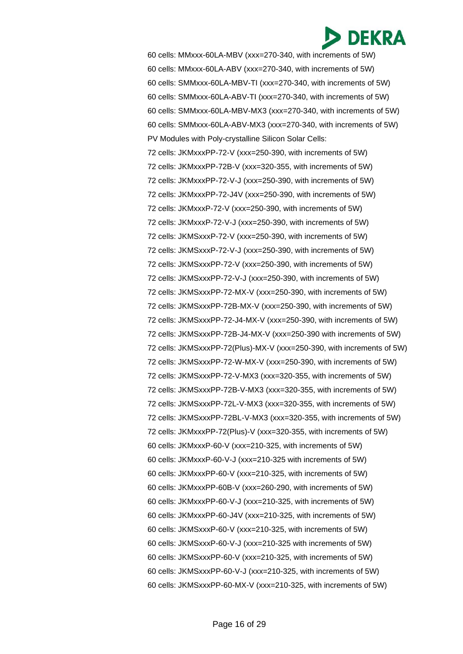

60 cells: MMxxx-60LA-MBV (xxx=270-340, with increments of 5W) 60 cells: MMxxx-60LA-ABV (xxx=270-340, with increments of 5W) 60 cells: SMMxxx-60LA-MBV-TI (xxx=270-340, with increments of 5W) 60 cells: SMMxxx-60LA-ABV-TI (xxx=270-340, with increments of 5W) 60 cells: SMMxxx-60LA-MBV-MX3 (xxx=270-340, with increments of 5W) 60 cells: SMMxxx-60LA-ABV-MX3 (xxx=270-340, with increments of 5W) PV Modules with Poly-crystalline Silicon Solar Cells: 72 cells: JKMxxxPP-72-V (xxx=250-390, with increments of 5W) 72 cells: JKMxxxPP-72B-V (xxx=320-355, with increments of 5W) 72 cells: JKMxxxPP-72-V-J (xxx=250-390, with increments of 5W) 72 cells: JKMxxxPP-72-J4V (xxx=250-390, with increments of 5W) 72 cells: JKMxxxP-72-V (xxx=250-390, with increments of 5W) 72 cells: JKMxxxP-72-V-J (xxx=250-390, with increments of 5W) 72 cells: JKMSxxxP-72-V (xxx=250-390, with increments of 5W) 72 cells: JKMSxxxP-72-V-J (xxx=250-390, with increments of 5W) 72 cells: JKMSxxxPP-72-V (xxx=250-390, with increments of 5W) 72 cells: JKMSxxxPP-72-V-J (xxx=250-390, with increments of 5W) 72 cells: JKMSxxxPP-72-MX-V (xxx=250-390, with increments of 5W) 72 cells: JKMSxxxPP-72B-MX-V (xxx=250-390, with increments of 5W) 72 cells: JKMSxxxPP-72-J4-MX-V (xxx=250-390, with increments of 5W) 72 cells: JKMSxxxPP-72B-J4-MX-V (xxx=250-390 with increments of 5W) 72 cells: JKMSxxxPP-72(Plus)-MX-V (xxx=250-390, with increments of 5W) 72 cells: JKMSxxxPP-72-W-MX-V (xxx=250-390, with increments of 5W) 72 cells: JKMSxxxPP-72-V-MX3 (xxx=320-355, with increments of 5W) 72 cells: JKMSxxxPP-72B-V-MX3 (xxx=320-355, with increments of 5W) 72 cells: JKMSxxxPP-72L-V-MX3 (xxx=320-355, with increments of 5W) 72 cells: JKMSxxxPP-72BL-V-MX3 (xxx=320-355, with increments of 5W) 72 cells: JKMxxxPP-72(Plus)-V (xxx=320-355, with increments of 5W) 60 cells: JKMxxxP-60-V (xxx=210-325, with increments of 5W) 60 cells: JKMxxxP-60-V-J (xxx=210-325 with increments of 5W) 60 cells: JKMxxxPP-60-V (xxx=210-325, with increments of 5W) 60 cells: JKMxxxPP-60B-V (xxx=260-290, with increments of 5W) 60 cells: JKMxxxPP-60-V-J (xxx=210-325, with increments of 5W) 60 cells: JKMxxxPP-60-J4V (xxx=210-325, with increments of 5W) 60 cells: JKMSxxxP-60-V (xxx=210-325, with increments of 5W) 60 cells: JKMSxxxP-60-V-J (xxx=210-325 with increments of 5W) 60 cells: JKMSxxxPP-60-V (xxx=210-325, with increments of 5W) 60 cells: JKMSxxxPP-60-V-J (xxx=210-325, with increments of 5W) 60 cells: JKMSxxxPP-60-MX-V (xxx=210-325, with increments of 5W)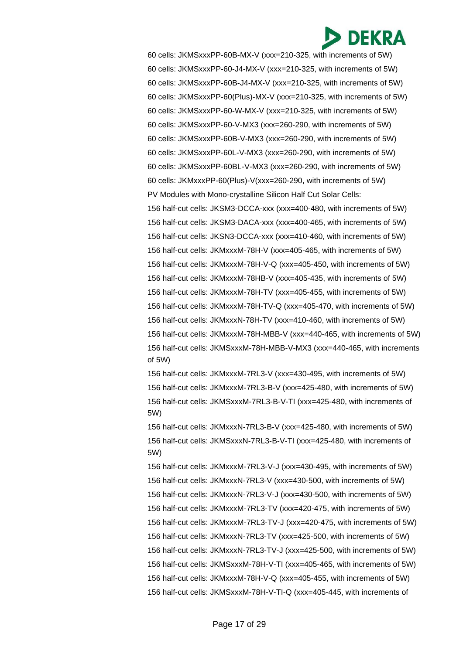60 cells: JKMSxxxPP-60B-MX-V (xxx=210-325, with increments of 5W) 60 cells: JKMSxxxPP-60-J4-MX-V (xxx=210-325, with increments of 5W) 60 cells: JKMSxxxPP-60B-J4-MX-V (xxx=210-325, with increments of 5W) 60 cells: JKMSxxxPP-60(Plus)-MX-V (xxx=210-325, with increments of 5W) 60 cells: JKMSxxxPP-60-W-MX-V (xxx=210-325, with increments of 5W) 60 cells: JKMSxxxPP-60-V-MX3 (xxx=260-290, with increments of 5W) 60 cells: JKMSxxxPP-60B-V-MX3 (xxx=260-290, with increments of 5W) 60 cells: JKMSxxxPP-60L-V-MX3 (xxx=260-290, with increments of 5W) 60 cells: JKMSxxxPP-60BL-V-MX3 (xxx=260-290, with increments of 5W) 60 cells: JKMxxxPP-60(Plus)-V(xxx=260-290, with increments of 5W) PV Modules with Mono-crystalline Silicon Half Cut Solar Cells: 156 half-cut cells: JKSM3-DCCA-xxx (xxx=400-480, with increments of 5W) 156 half-cut cells: JKSM3-DACA-xxx (xxx=400-465, with increments of 5W) 156 half-cut cells: JKSN3-DCCA-xxx (xxx=410-460, with increments of 5W) 156 half-cut cells: JKMxxxM-78H-V (xxx=405-465, with increments of 5W) 156 half-cut cells: JKMxxxM-78H-V-Q (xxx=405-450, with increments of 5W) 156 half-cut cells: JKMxxxM-78HB-V (xxx=405-435, with increments of 5W) 156 half-cut cells: JKMxxxM-78H-TV (xxx=405-455, with increments of 5W) 156 half-cut cells: JKMxxxM-78H-TV-Q (xxx=405-470, with increments of 5W) 156 half-cut cells: JKMxxxN-78H-TV (xxx=410-460, with increments of 5W) 156 half-cut cells: JKMxxxM-78H-MBB-V (xxx=440-465, with increments of 5W) 156 half-cut cells: JKMSxxxM-78H-MBB-V-MX3 (xxx=440-465, with increments of 5W)

156 half-cut cells: JKMxxxM-7RL3-V (xxx=430-495, with increments of 5W) 156 half-cut cells: JKMxxxM-7RL3-B-V (xxx=425-480, with increments of 5W) 156 half-cut cells: JKMSxxxM-7RL3-B-V-TI (xxx=425-480, with increments of 5W)

156 half-cut cells: JKMxxxN-7RL3-B-V (xxx=425-480, with increments of 5W) 156 half-cut cells: JKMSxxxN-7RL3-B-V-TI (xxx=425-480, with increments of 5W)

156 half-cut cells: JKMxxxM-7RL3-V-J (xxx=430-495, with increments of 5W) 156 half-cut cells: JKMxxxN-7RL3-V (xxx=430-500, with increments of 5W) 156 half-cut cells: JKMxxxN-7RL3-V-J (xxx=430-500, with increments of 5W) 156 half-cut cells: JKMxxxM-7RL3-TV (xxx=420-475, with increments of 5W) 156 half-cut cells: JKMxxxM-7RL3-TV-J (xxx=420-475, with increments of 5W) 156 half-cut cells: JKMxxxN-7RL3-TV (xxx=425-500, with increments of 5W) 156 half-cut cells: JKMxxxN-7RL3-TV-J (xxx=425-500, with increments of 5W) 156 half-cut cells: JKMSxxxM-78H-V-TI (xxx=405-465, with increments of 5W) 156 half-cut cells: JKMxxxM-78H-V-Q (xxx=405-455, with increments of 5W) 156 half-cut cells: JKMSxxxM-78H-V-TI-Q (xxx=405-445, with increments of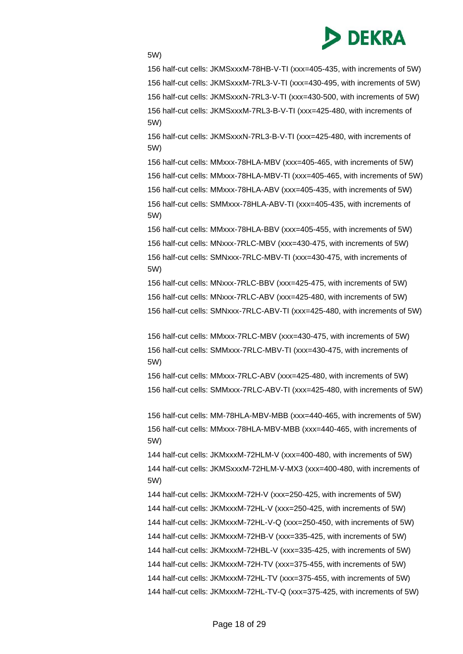

5W)

156 half-cut cells: JKMSxxxM-78HB-V-TI (xxx=405-435, with increments of 5W) 156 half-cut cells: JKMSxxxM-7RL3-V-TI (xxx=430-495, with increments of 5W) 156 half-cut cells: JKMSxxxN-7RL3-V-TI (xxx=430-500, with increments of 5W) 156 half-cut cells: JKMSxxxM-7RL3-B-V-TI (xxx=425-480, with increments of 5W)

156 half-cut cells: JKMSxxxN-7RL3-B-V-TI (xxx=425-480, with increments of 5W)

156 half-cut cells: MMxxx-78HLA-MBV (xxx=405-465, with increments of 5W) 156 half-cut cells: MMxxx-78HLA-MBV-TI (xxx=405-465, with increments of 5W) 156 half-cut cells: MMxxx-78HLA-ABV (xxx=405-435, with increments of 5W) 156 half-cut cells: SMMxxx-78HLA-ABV-TI (xxx=405-435, with increments of 5W)

156 half-cut cells: MMxxx-78HLA-BBV (xxx=405-455, with increments of 5W) 156 half-cut cells: MNxxx-7RLC-MBV (xxx=430-475, with increments of 5W) 156 half-cut cells: SMNxxx-7RLC-MBV-TI (xxx=430-475, with increments of 5W)

156 half-cut cells: MNxxx-7RLC-BBV (xxx=425-475, with increments of 5W) 156 half-cut cells: MNxxx-7RLC-ABV (xxx=425-480, with increments of 5W) 156 half-cut cells: SMNxxx-7RLC-ABV-TI (xxx=425-480, with increments of 5W)

156 half-cut cells: MMxxx-7RLC-MBV (xxx=430-475, with increments of 5W) 156 half-cut cells: SMMxxx-7RLC-MBV-TI (xxx=430-475, with increments of 5W)

156 half-cut cells: MMxxx-7RLC-ABV (xxx=425-480, with increments of 5W) 156 half-cut cells: SMMxxx-7RLC-ABV-TI (xxx=425-480, with increments of 5W)

156 half-cut cells: MM-78HLA-MBV-MBB (xxx=440-465, with increments of 5W) 156 half-cut cells: MMxxx-78HLA-MBV-MBB (xxx=440-465, with increments of 5W)

144 half-cut cells: JKMxxxM-72HLM-V (xxx=400-480, with increments of 5W) 144 half-cut cells: JKMSxxxM-72HLM-V-MX3 (xxx=400-480, with increments of 5W)

144 half-cut cells: JKMxxxM-72H-V (xxx=250-425, with increments of 5W) 144 half-cut cells: JKMxxxM-72HL-V (xxx=250-425, with increments of 5W) 144 half-cut cells: JKMxxxM-72HL-V-Q (xxx=250-450, with increments of 5W) 144 half-cut cells: JKMxxxM-72HB-V (xxx=335-425, with increments of 5W) 144 half-cut cells: JKMxxxM-72HBL-V (xxx=335-425, with increments of 5W)

144 half-cut cells: JKMxxxM-72H-TV (xxx=375-455, with increments of 5W)

144 half-cut cells: JKMxxxM-72HL-TV (xxx=375-455, with increments of 5W)

144 half-cut cells: JKMxxxM-72HL-TV-Q (xxx=375-425, with increments of 5W)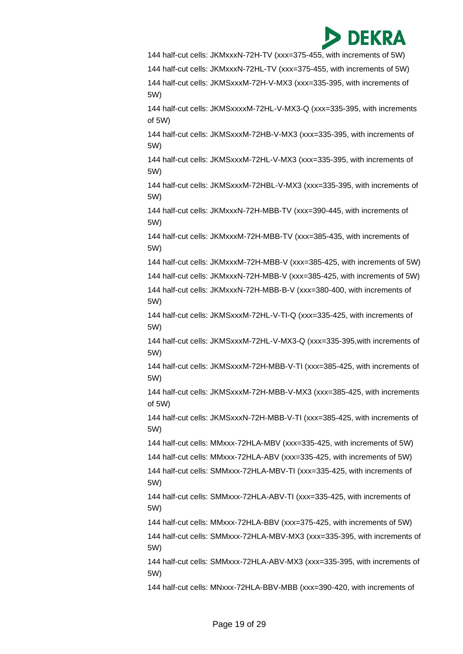

144 half-cut cells: JKMxxxN-72H-TV (xxx=375-455, with increments of 5W)

144 half-cut cells: JKMxxxN-72HL-TV (xxx=375-455, with increments of 5W) 144 half-cut cells: JKMSxxxM-72H-V-MX3 (xxx=335-395, with increments of 5W)

144 half-cut cells: JKMSxxxxM-72HL-V-MX3-Q (xxx=335-395, with increments of 5W)

144 half-cut cells: JKMSxxxM-72HB-V-MX3 (xxx=335-395, with increments of 5W)

144 half-cut cells: JKMSxxxM-72HL-V-MX3 (xxx=335-395, with increments of 5W)

144 half-cut cells: JKMSxxxM-72HBL-V-MX3 (xxx=335-395, with increments of 5W)

144 half-cut cells: JKMxxxN-72H-MBB-TV (xxx=390-445, with increments of 5W)

144 half-cut cells: JKMxxxM-72H-MBB-TV (xxx=385-435, with increments of 5W)

144 half-cut cells: JKMxxxM-72H-MBB-V (xxx=385-425, with increments of 5W)

144 half-cut cells: JKMxxxN-72H-MBB-V (xxx=385-425, with increments of 5W)

144 half-cut cells: JKMxxxN-72H-MBB-B-V (xxx=380-400, with increments of 5W)

144 half-cut cells: JKMSxxxM-72HL-V-TI-Q (xxx=335-425, with increments of 5W)

144 half-cut cells: JKMSxxxM-72HL-V-MX3-Q (xxx=335-395,with increments of 5W)

144 half-cut cells: JKMSxxxM-72H-MBB-V-TI (xxx=385-425, with increments of 5W)

144 half-cut cells: JKMSxxxM-72H-MBB-V-MX3 (xxx=385-425, with increments of 5W)

144 half-cut cells: JKMSxxxN-72H-MBB-V-TI (xxx=385-425, with increments of 5W)

144 half-cut cells: MMxxx-72HLA-MBV (xxx=335-425, with increments of 5W)

144 half-cut cells: MMxxx-72HLA-ABV (xxx=335-425, with increments of 5W)

144 half-cut cells: SMMxxx-72HLA-MBV-TI (xxx=335-425, with increments of 5W)

144 half-cut cells: SMMxxx-72HLA-ABV-TI (xxx=335-425, with increments of 5W)

144 half-cut cells: MMxxx-72HLA-BBV (xxx=375-425, with increments of 5W)

144 half-cut cells: SMMxxx-72HLA-MBV-MX3 (xxx=335-395, with increments of 5W)

144 half-cut cells: SMMxxx-72HLA-ABV-MX3 (xxx=335-395, with increments of 5W)

144 half-cut cells: MNxxx-72HLA-BBV-MBB (xxx=390-420, with increments of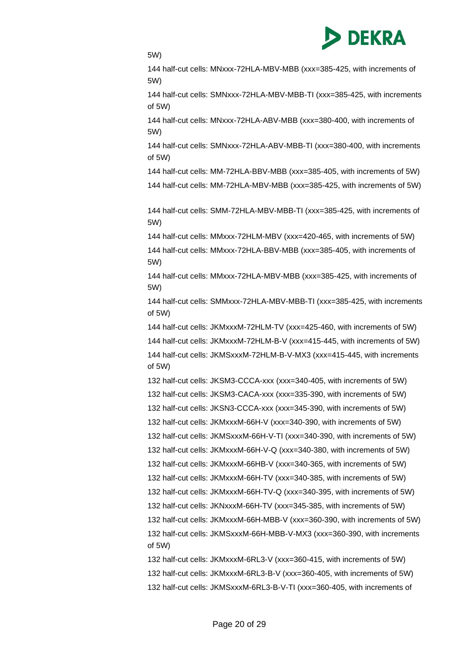

5W)

144 half-cut cells: MNxxx-72HLA-MBV-MBB (xxx=385-425, with increments of 5W)

144 half-cut cells: SMNxxx-72HLA-MBV-MBB-TI (xxx=385-425, with increments of 5W)

144 half-cut cells: MNxxx-72HLA-ABV-MBB (xxx=380-400, with increments of 5W)

144 half-cut cells: SMNxxx-72HLA-ABV-MBB-TI (xxx=380-400, with increments of 5W)

144 half-cut cells: MM-72HLA-BBV-MBB (xxx=385-405, with increments of 5W)

144 half-cut cells: MM-72HLA-MBV-MBB (xxx=385-425, with increments of 5W)

144 half-cut cells: SMM-72HLA-MBV-MBB-TI (xxx=385-425, with increments of 5W)

144 half-cut cells: MMxxx-72HLM-MBV (xxx=420-465, with increments of 5W)

144 half-cut cells: MMxxx-72HLA-BBV-MBB (xxx=385-405, with increments of 5W)

144 half-cut cells: MMxxx-72HLA-MBV-MBB (xxx=385-425, with increments of 5W)

144 half-cut cells: SMMxxx-72HLA-MBV-MBB-TI (xxx=385-425, with increments of 5W)

144 half-cut cells: JKMxxxM-72HLM-TV (xxx=425-460, with increments of 5W) 144 half-cut cells: JKMxxxM-72HLM-B-V (xxx=415-445, with increments of 5W) 144 half-cut cells: JKMSxxxM-72HLM-B-V-MX3 (xxx=415-445, with increments of 5W)

132 half-cut cells: JKSM3-CCCA-xxx (xxx=340-405, with increments of 5W) 132 half-cut cells: JKSM3-CACA-xxx (xxx=335-390, with increments of 5W) 132 half-cut cells: JKSN3-CCCA-xxx (xxx=345-390, with increments of 5W) 132 half-cut cells: JKMxxxM-66H-V (xxx=340-390, with increments of 5W) 132 half-cut cells: JKMSxxxM-66H-V-TI (xxx=340-390, with increments of 5W) 132 half-cut cells: JKMxxxM-66H-V-Q (xxx=340-380, with increments of 5W) 132 half-cut cells: JKMxxxM-66HB-V (xxx=340-365, with increments of 5W) 132 half-cut cells: JKMxxxM-66H-TV (xxx=340-385, with increments of 5W) 132 half-cut cells: JKMxxxM-66H-TV-Q (xxx=340-395, with increments of 5W) 132 half-cut cells: JKNxxxM-66H-TV (xxx=345-385, with increments of 5W) 132 half-cut cells: JKMxxxM-66H-MBB-V (xxx=360-390, with increments of 5W) 132 half-cut cells: JKMSxxxM-66H-MBB-V-MX3 (xxx=360-390, with increments of 5W)

132 half-cut cells: JKMxxxM-6RL3-V (xxx=360-415, with increments of 5W) 132 half-cut cells: JKMxxxM-6RL3-B-V (xxx=360-405, with increments of 5W) 132 half-cut cells: JKMSxxxM-6RL3-B-V-TI (xxx=360-405, with increments of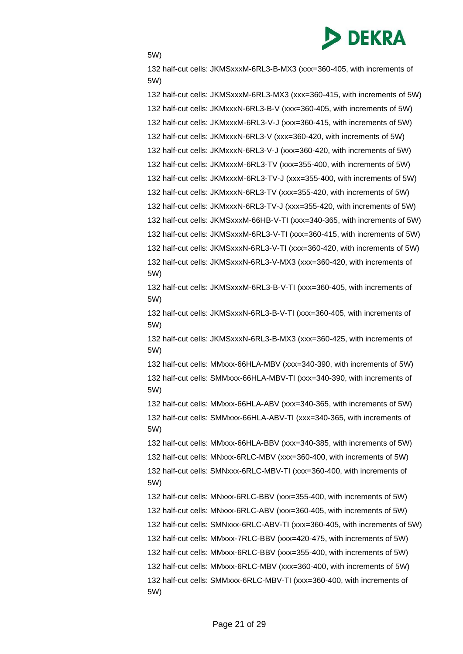

5W)

132 half-cut cells: JKMSxxxM-6RL3-B-MX3 (xxx=360-405, with increments of 5W)

132 half-cut cells: JKMSxxxM-6RL3-MX3 (xxx=360-415, with increments of 5W) 132 half-cut cells: JKMxxxN-6RL3-B-V (xxx=360-405, with increments of 5W) 132 half-cut cells: JKMxxxM-6RL3-V-J (xxx=360-415, with increments of 5W) 132 half-cut cells: JKMxxxN-6RL3-V (xxx=360-420, with increments of 5W) 132 half-cut cells: JKMxxxN-6RL3-V-J (xxx=360-420, with increments of 5W) 132 half-cut cells: JKMxxxM-6RL3-TV (xxx=355-400, with increments of 5W) 132 half-cut cells: JKMxxxM-6RL3-TV-J (xxx=355-400, with increments of 5W)

132 half-cut cells: JKMxxxN-6RL3-TV (xxx=355-420, with increments of 5W) 132 half-cut cells: JKMxxxN-6RL3-TV-J (xxx=355-420, with increments of 5W)

132 half-cut cells: JKMSxxxM-66HB-V-TI (xxx=340-365, with increments of 5W)

132 half-cut cells: JKMSxxxM-6RL3-V-TI (xxx=360-415, with increments of 5W)

132 half-cut cells: JKMSxxxN-6RL3-V-TI (xxx=360-420, with increments of 5W) 132 half-cut cells: JKMSxxxN-6RL3-V-MX3 (xxx=360-420, with increments of 5W)

132 half-cut cells: JKMSxxxM-6RL3-B-V-TI (xxx=360-405, with increments of 5W)

132 half-cut cells: JKMSxxxN-6RL3-B-V-TI (xxx=360-405, with increments of 5W)

132 half-cut cells: JKMSxxxN-6RL3-B-MX3 (xxx=360-425, with increments of 5W)

132 half-cut cells: MMxxx-66HLA-MBV (xxx=340-390, with increments of 5W) 132 half-cut cells: SMMxxx-66HLA-MBV-TI (xxx=340-390, with increments of 5W)

132 half-cut cells: MMxxx-66HLA-ABV (xxx=340-365, with increments of 5W) 132 half-cut cells: SMMxxx-66HLA-ABV-TI (xxx=340-365, with increments of 5W)

132 half-cut cells: MMxxx-66HLA-BBV (xxx=340-385, with increments of 5W)

132 half-cut cells: MNxxx-6RLC-MBV (xxx=360-400, with increments of 5W)

132 half-cut cells: SMNxxx-6RLC-MBV-TI (xxx=360-400, with increments of 5W)

132 half-cut cells: MNxxx-6RLC-BBV (xxx=355-400, with increments of 5W) 132 half-cut cells: MNxxx-6RLC-ABV (xxx=360-405, with increments of 5W) 132 half-cut cells: SMNxxx-6RLC-ABV-TI (xxx=360-405, with increments of 5W) 132 half-cut cells: MMxxx-7RLC-BBV (xxx=420-475, with increments of 5W) 132 half-cut cells: MMxxx-6RLC-BBV (xxx=355-400, with increments of 5W) 132 half-cut cells: MMxxx-6RLC-MBV (xxx=360-400, with increments of 5W) 132 half-cut cells: SMMxxx-6RLC-MBV-TI (xxx=360-400, with increments of 5W)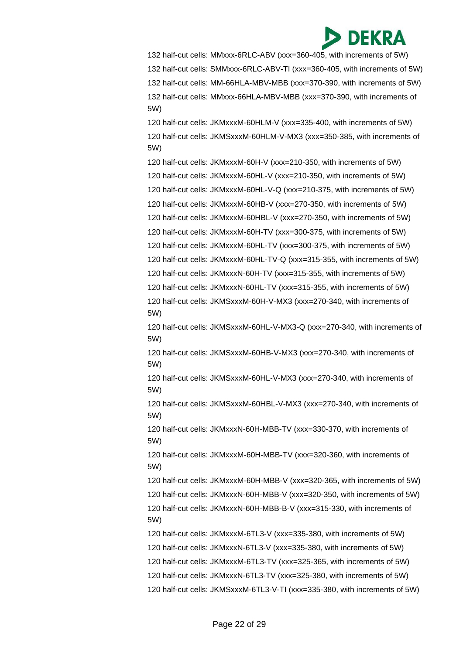132 half-cut cells: MMxxx-6RLC-ABV (xxx=360-405, with increments of 5W) 132 half-cut cells: SMMxxx-6RLC-ABV-TI (xxx=360-405, with increments of 5W) 132 half-cut cells: MM-66HLA-MBV-MBB (xxx=370-390, with increments of 5W) 132 half-cut cells: MMxxx-66HLA-MBV-MBB (xxx=370-390, with increments of 5W)

120 half-cut cells: JKMxxxM-60HLM-V (xxx=335-400, with increments of 5W) 120 half-cut cells: JKMSxxxM-60HLM-V-MX3 (xxx=350-385, with increments of 5W)

120 half-cut cells: JKMxxxM-60H-V (xxx=210-350, with increments of 5W) 120 half-cut cells: JKMxxxM-60HL-V (xxx=210-350, with increments of 5W) 120 half-cut cells: JKMxxxM-60HL-V-Q (xxx=210-375, with increments of 5W) 120 half-cut cells: JKMxxxM-60HB-V (xxx=270-350, with increments of 5W) 120 half-cut cells: JKMxxxM-60HBL-V (xxx=270-350, with increments of 5W) 120 half-cut cells: JKMxxxM-60H-TV (xxx=300-375, with increments of 5W) 120 half-cut cells: JKMxxxM-60HL-TV (xxx=300-375, with increments of 5W) 120 half-cut cells: JKMxxxM-60HL-TV-Q (xxx=315-355, with increments of 5W) 120 half-cut cells: JKMxxxN-60H-TV (xxx=315-355, with increments of 5W) 120 half-cut cells: JKMxxxN-60HL-TV (xxx=315-355, with increments of 5W)

120 half-cut cells: JKMSxxxM-60H-V-MX3 (xxx=270-340, with increments of 5W)

120 half-cut cells: JKMSxxxM-60HL-V-MX3-Q (xxx=270-340, with increments of 5W)

120 half-cut cells: JKMSxxxM-60HB-V-MX3 (xxx=270-340, with increments of 5W)

120 half-cut cells: JKMSxxxM-60HL-V-MX3 (xxx=270-340, with increments of 5W)

120 half-cut cells: JKMSxxxM-60HBL-V-MX3 (xxx=270-340, with increments of 5W)

120 half-cut cells: JKMxxxN-60H-MBB-TV (xxx=330-370, with increments of 5W)

120 half-cut cells: JKMxxxM-60H-MBB-TV (xxx=320-360, with increments of 5W)

120 half-cut cells: JKMxxxM-60H-MBB-V (xxx=320-365, with increments of 5W)

120 half-cut cells: JKMxxxN-60H-MBB-V (xxx=320-350, with increments of 5W)

120 half-cut cells: JKMxxxN-60H-MBB-B-V (xxx=315-330, with increments of 5W)

120 half-cut cells: JKMxxxM-6TL3-V (xxx=335-380, with increments of 5W)

- 120 half-cut cells: JKMxxxN-6TL3-V (xxx=335-380, with increments of 5W)
- 120 half-cut cells: JKMxxxM-6TL3-TV (xxx=325-365, with increments of 5W)
- 120 half-cut cells: JKMxxxN-6TL3-TV (xxx=325-380, with increments of 5W)

120 half-cut cells: JKMSxxxM-6TL3-V-TI (xxx=335-380, with increments of 5W)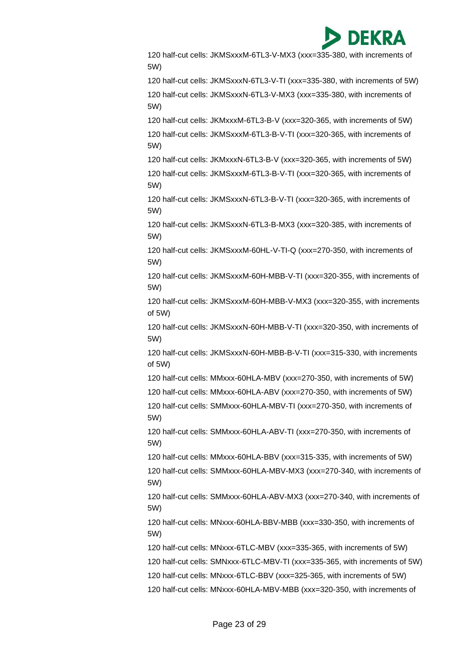

120 half-cut cells: JKMSxxxM-6TL3-V-MX3 (xxx=335-380, with increments of 5W) 120 half-cut cells: JKMSxxxN-6TL3-V-TI (xxx=335-380, with increments of 5W) 120 half-cut cells: JKMSxxxN-6TL3-V-MX3 (xxx=335-380, with increments of 5W) 120 half-cut cells: JKMxxxM-6TL3-B-V (xxx=320-365, with increments of 5W) 120 half-cut cells: JKMSxxxM-6TL3-B-V-TI (xxx=320-365, with increments of 5W) 120 half-cut cells: JKMxxxN-6TL3-B-V (xxx=320-365, with increments of 5W) 120 half-cut cells: JKMSxxxM-6TL3-B-V-TI (xxx=320-365, with increments of 5W) 120 half-cut cells: JKMSxxxN-6TL3-B-V-TI (xxx=320-365, with increments of 5W) 120 half-cut cells: JKMSxxxN-6TL3-B-MX3 (xxx=320-385, with increments of 5W) 120 half-cut cells: JKMSxxxM-60HL-V-TI-Q (xxx=270-350, with increments of 5W) 120 half-cut cells: JKMSxxxM-60H-MBB-V-TI (xxx=320-355, with increments of 5W) 120 half-cut cells: JKMSxxxM-60H-MBB-V-MX3 (xxx=320-355, with increments of 5W) 120 half-cut cells: JKMSxxxN-60H-MBB-V-TI (xxx=320-350, with increments of 5W) 120 half-cut cells: JKMSxxxN-60H-MBB-B-V-TI (xxx=315-330, with increments of 5W) 120 half-cut cells: MMxxx-60HLA-MBV (xxx=270-350, with increments of 5W) 120 half-cut cells: MMxxx-60HLA-ABV (xxx=270-350, with increments of 5W) 120 half-cut cells: SMMxxx-60HLA-MBV-TI (xxx=270-350, with increments of 5W) 120 half-cut cells: SMMxxx-60HLA-ABV-TI (xxx=270-350, with increments of 5W) 120 half-cut cells: MMxxx-60HLA-BBV (xxx=315-335, with increments of 5W) 120 half-cut cells: SMMxxx-60HLA-MBV-MX3 (xxx=270-340, with increments of 5W) 120 half-cut cells: SMMxxx-60HLA-ABV-MX3 (xxx=270-340, with increments of 5W) 120 half-cut cells: MNxxx-60HLA-BBV-MBB (xxx=330-350, with increments of 5W) 120 half-cut cells: MNxxx-6TLC-MBV (xxx=335-365, with increments of 5W) 120 half-cut cells: SMNxxx-6TLC-MBV-TI (xxx=335-365, with increments of 5W) 120 half-cut cells: MNxxx-6TLC-BBV (xxx=325-365, with increments of 5W) 120 half-cut cells: MNxxx-60HLA-MBV-MBB (xxx=320-350, with increments of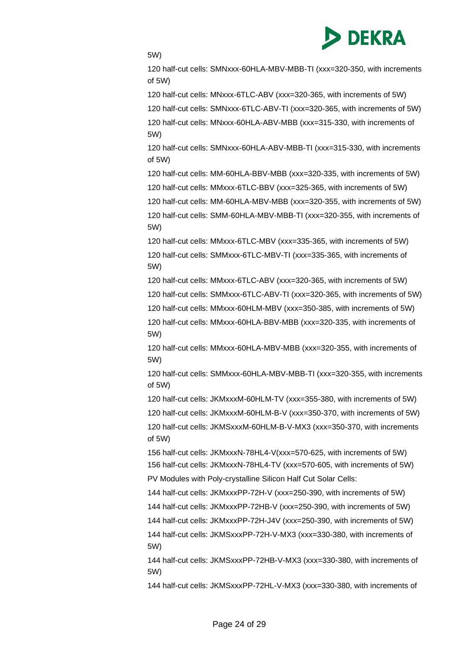

5W)

120 half-cut cells: SMNxxx-60HLA-MBV-MBB-TI (xxx=320-350, with increments of 5W)

120 half-cut cells: MNxxx-6TLC-ABV (xxx=320-365, with increments of 5W)

120 half-cut cells: SMNxxx-6TLC-ABV-TI (xxx=320-365, with increments of 5W)

120 half-cut cells: MNxxx-60HLA-ABV-MBB (xxx=315-330, with increments of 5W)

120 half-cut cells: SMNxxx-60HLA-ABV-MBB-TI (xxx=315-330, with increments of 5W)

120 half-cut cells: MM-60HLA-BBV-MBB (xxx=320-335, with increments of 5W)

120 half-cut cells: MMxxx-6TLC-BBV (xxx=325-365, with increments of 5W)

120 half-cut cells: MM-60HLA-MBV-MBB (xxx=320-355, with increments of 5W) 120 half-cut cells: SMM-60HLA-MBV-MBB-TI (xxx=320-355, with increments of 5W)

120 half-cut cells: MMxxx-6TLC-MBV (xxx=335-365, with increments of 5W) 120 half-cut cells: SMMxxx-6TLC-MBV-TI (xxx=335-365, with increments of 5W)

120 half-cut cells: MMxxx-6TLC-ABV (xxx=320-365, with increments of 5W)

120 half-cut cells: SMMxxx-6TLC-ABV-TI (xxx=320-365, with increments of 5W)

120 half-cut cells: MMxxx-60HLM-MBV (xxx=350-385, with increments of 5W)

120 half-cut cells: MMxxx-60HLA-BBV-MBB (xxx=320-335, with increments of 5W)

120 half-cut cells: MMxxx-60HLA-MBV-MBB (xxx=320-355, with increments of 5W)

120 half-cut cells: SMMxxx-60HLA-MBV-MBB-TI (xxx=320-355, with increments of 5W)

120 half-cut cells: JKMxxxM-60HLM-TV (xxx=355-380, with increments of 5W)

120 half-cut cells: JKMxxxM-60HLM-B-V (xxx=350-370, with increments of 5W) 120 half-cut cells: JKMSxxxM-60HLM-B-V-MX3 (xxx=350-370, with increments

of 5W)

156 half-cut cells: JKMxxxN-78HL4-V(xxx=570-625, with increments of 5W) 156 half-cut cells: JKMxxxN-78HL4-TV (xxx=570-605, with increments of 5W) PV Modules with Poly-crystalline Silicon Half Cut Solar Cells:

144 half-cut cells: JKMxxxPP-72H-V (xxx=250-390, with increments of 5W)

144 half-cut cells: JKMxxxPP-72HB-V (xxx=250-390, with increments of 5W)

144 half-cut cells: JKMxxxPP-72H-J4V (xxx=250-390, with increments of 5W)

144 half-cut cells: JKMSxxxPP-72H-V-MX3 (xxx=330-380, with increments of 5W)

144 half-cut cells: JKMSxxxPP-72HB-V-MX3 (xxx=330-380, with increments of 5W)

144 half-cut cells: JKMSxxxPP-72HL-V-MX3 (xxx=330-380, with increments of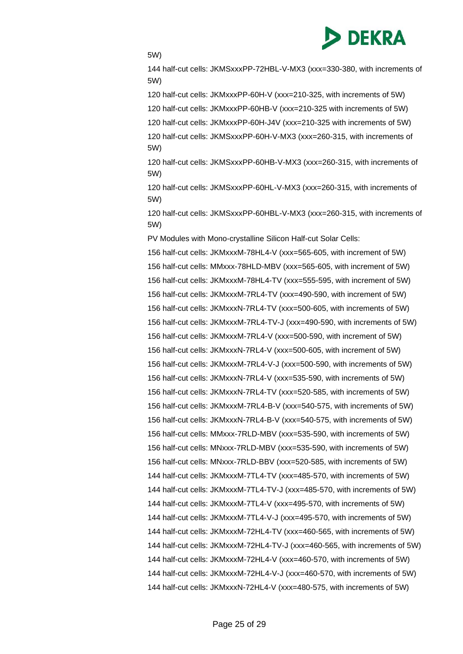

5W)

144 half-cut cells: JKMSxxxPP-72HBL-V-MX3 (xxx=330-380, with increments of 5W)

120 half-cut cells: JKMxxxPP-60H-V (xxx=210-325, with increments of 5W)

120 half-cut cells: JKMxxxPP-60HB-V (xxx=210-325 with increments of 5W)

120 half-cut cells: JKMxxxPP-60H-J4V (xxx=210-325 with increments of 5W)

120 half-cut cells: JKMSxxxPP-60H-V-MX3 (xxx=260-315, with increments of 5W)

120 half-cut cells: JKMSxxxPP-60HB-V-MX3 (xxx=260-315, with increments of 5W)

120 half-cut cells: JKMSxxxPP-60HL-V-MX3 (xxx=260-315, with increments of 5W)

120 half-cut cells: JKMSxxxPP-60HBL-V-MX3 (xxx=260-315, with increments of 5W)

PV Modules with Mono-crystalline Silicon Half-cut Solar Cells:

156 half-cut cells: JKMxxxM-78HL4-V (xxx=565-605, with increment of 5W) 156 half-cut cells: MMxxx-78HLD-MBV (xxx=565-605, with increment of 5W) 156 half-cut cells: JKMxxxM-78HL4-TV (xxx=555-595, with increment of 5W) 156 half-cut cells: JKMxxxM-7RL4-TV (xxx=490-590, with increment of 5W) 156 half-cut cells: JKMxxxN-7RL4-TV (xxx=500-605, with increments of 5W) 156 half-cut cells: JKMxxxM-7RL4-TV-J (xxx=490-590, with increments of 5W) 156 half-cut cells: JKMxxxM-7RL4-V (xxx=500-590, with increment of 5W) 156 half-cut cells: JKMxxxN-7RL4-V (xxx=500-605, with increment of 5W) 156 half-cut cells: JKMxxxM-7RL4-V-J (xxx=500-590, with increments of 5W) 156 half-cut cells: JKMxxxN-7RL4-V (xxx=535-590, with increments of 5W) 156 half-cut cells: JKMxxxN-7RL4-TV (xxx=520-585, with increments of 5W) 156 half-cut cells: JKMxxxM-7RL4-B-V (xxx=540-575, with increments of 5W) 156 half-cut cells: JKMxxxN-7RL4-B-V (xxx=540-575, with increments of 5W) 156 half-cut cells: MMxxx-7RLD-MBV (xxx=535-590, with increments of 5W) 156 half-cut cells: MNxxx-7RLD-MBV (xxx=535-590, with increments of 5W) 156 half-cut cells: MNxxx-7RLD-BBV (xxx=520-585, with increments of 5W) 144 half-cut cells: JKMxxxM-7TL4-TV (xxx=485-570, with increments of 5W) 144 half-cut cells: JKMxxxM-7TL4-TV-J (xxx=485-570, with increments of 5W) 144 half-cut cells: JKMxxxM-7TL4-V (xxx=495-570, with increments of 5W) 144 half-cut cells: JKMxxxM-7TL4-V-J (xxx=495-570, with increments of 5W) 144 half-cut cells: JKMxxxM-72HL4-TV (xxx=460-565, with increments of 5W) 144 half-cut cells: JKMxxxM-72HL4-TV-J (xxx=460-565, with increments of 5W) 144 half-cut cells: JKMxxxM-72HL4-V (xxx=460-570, with increments of 5W) 144 half-cut cells: JKMxxxM-72HL4-V-J (xxx=460-570, with increments of 5W) 144 half-cut cells: JKMxxxN-72HL4-V (xxx=480-575, with increments of 5W)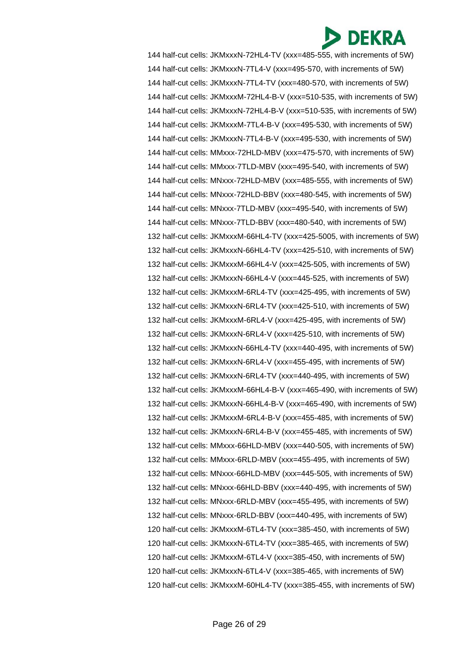144 half-cut cells: JKMxxxN-72HL4-TV (xxx=485-555, with increments of 5W) 144 half-cut cells: JKMxxxN-7TL4-V (xxx=495-570, with increments of 5W) 144 half-cut cells: JKMxxxN-7TL4-TV (xxx=480-570, with increments of 5W) 144 half-cut cells: JKMxxxM-72HL4-B-V (xxx=510-535, with increments of 5W) 144 half-cut cells: JKMxxxN-72HL4-B-V (xxx=510-535, with increments of 5W) 144 half-cut cells: JKMxxxM-7TL4-B-V (xxx=495-530, with increments of 5W) 144 half-cut cells: JKMxxxN-7TL4-B-V (xxx=495-530, with increments of 5W) 144 half-cut cells: MMxxx-72HLD-MBV (xxx=475-570, with increments of 5W) 144 half-cut cells: MMxxx-7TLD-MBV (xxx=495-540, with increments of 5W) 144 half-cut cells: MNxxx-72HLD-MBV (xxx=485-555, with increments of 5W) 144 half-cut cells: MNxxx-72HLD-BBV (xxx=480-545, with increments of 5W) 144 half-cut cells: MNxxx-7TLD-MBV (xxx=495-540, with increments of 5W) 144 half-cut cells: MNxxx-7TLD-BBV (xxx=480-540, with increments of 5W) 132 half-cut cells: JKMxxxM-66HL4-TV (xxx=425-5005, with increments of 5W) 132 half-cut cells: JKMxxxN-66HL4-TV (xxx=425-510, with increments of 5W) 132 half-cut cells: JKMxxxM-66HL4-V (xxx=425-505, with increments of 5W) 132 half-cut cells: JKMxxxN-66HL4-V (xxx=445-525, with increments of 5W) 132 half-cut cells: JKMxxxM-6RL4-TV (xxx=425-495, with increments of 5W) 132 half-cut cells: JKMxxxN-6RL4-TV (xxx=425-510, with increments of 5W) 132 half-cut cells: JKMxxxM-6RL4-V (xxx=425-495, with increments of 5W) 132 half-cut cells: JKMxxxN-6RL4-V (xxx=425-510, with increments of 5W) 132 half-cut cells: JKMxxxN-66HL4-TV (xxx=440-495, with increments of 5W) 132 half-cut cells: JKMxxxN-6RL4-V (xxx=455-495, with increments of 5W) 132 half-cut cells: JKMxxxN-6RL4-TV (xxx=440-495, with increments of 5W) 132 half-cut cells: JKMxxxM-66HL4-B-V (xxx=465-490, with increments of 5W) 132 half-cut cells: JKMxxxN-66HL4-B-V (xxx=465-490, with increments of 5W) 132 half-cut cells: JKMxxxM-6RL4-B-V (xxx=455-485, with increments of 5W) 132 half-cut cells: JKMxxxN-6RL4-B-V (xxx=455-485, with increments of 5W) 132 half-cut cells: MMxxx-66HLD-MBV (xxx=440-505, with increments of 5W) 132 half-cut cells: MMxxx-6RLD-MBV (xxx=455-495, with increments of 5W) 132 half-cut cells: MNxxx-66HLD-MBV (xxx=445-505, with increments of 5W) 132 half-cut cells: MNxxx-66HLD-BBV (xxx=440-495, with increments of 5W) 132 half-cut cells: MNxxx-6RLD-MBV (xxx=455-495, with increments of 5W) 132 half-cut cells: MNxxx-6RLD-BBV (xxx=440-495, with increments of 5W) 120 half-cut cells: JKMxxxM-6TL4-TV (xxx=385-450, with increments of 5W) 120 half-cut cells: JKMxxxN-6TL4-TV (xxx=385-465, with increments of 5W) 120 half-cut cells: JKMxxxM-6TL4-V (xxx=385-450, with increments of 5W) 120 half-cut cells: JKMxxxN-6TL4-V (xxx=385-465, with increments of 5W) 120 half-cut cells: JKMxxxM-60HL4-TV (xxx=385-455, with increments of 5W)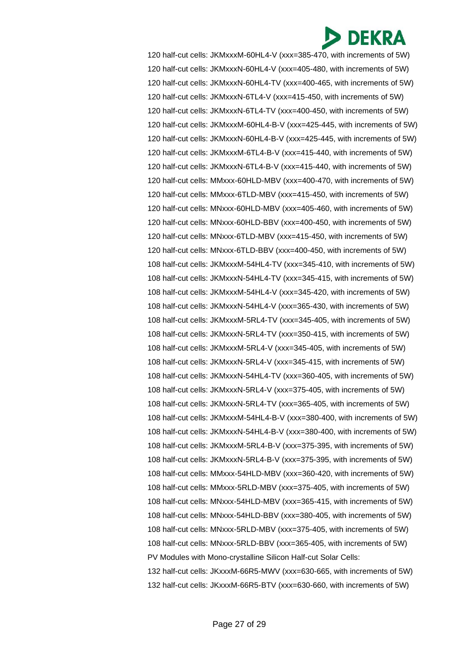120 half-cut cells: JKMxxxM-60HL4-V (xxx=385-470, with increments of 5W) 120 half-cut cells: JKMxxxN-60HL4-V (xxx=405-480, with increments of 5W) 120 half-cut cells: JKMxxxN-60HL4-TV (xxx=400-465, with increments of 5W) 120 half-cut cells: JKMxxxN-6TL4-V (xxx=415-450, with increments of 5W) 120 half-cut cells: JKMxxxN-6TL4-TV (xxx=400-450, with increments of 5W) 120 half-cut cells: JKMxxxM-60HL4-B-V (xxx=425-445, with increments of 5W) 120 half-cut cells: JKMxxxN-60HL4-B-V (xxx=425-445, with increments of 5W) 120 half-cut cells: JKMxxxM-6TL4-B-V (xxx=415-440, with increments of 5W) 120 half-cut cells: JKMxxxN-6TL4-B-V (xxx=415-440, with increments of 5W) 120 half-cut cells: MMxxx-60HLD-MBV (xxx=400-470, with increments of 5W) 120 half-cut cells: MMxxx-6TLD-MBV (xxx=415-450, with increments of 5W) 120 half-cut cells: MNxxx-60HLD-MBV (xxx=405-460, with increments of 5W) 120 half-cut cells: MNxxx-60HLD-BBV (xxx=400-450, with increments of 5W) 120 half-cut cells: MNxxx-6TLD-MBV (xxx=415-450, with increments of 5W) 120 half-cut cells: MNxxx-6TLD-BBV (xxx=400-450, with increments of 5W) 108 half-cut cells: JKMxxxM-54HL4-TV (xxx=345-410, with increments of 5W) 108 half-cut cells: JKMxxxN-54HL4-TV (xxx=345-415, with increments of 5W) 108 half-cut cells: JKMxxxM-54HL4-V (xxx=345-420, with increments of 5W) 108 half-cut cells: JKMxxxN-54HL4-V (xxx=365-430, with increments of 5W) 108 half-cut cells: JKMxxxM-5RL4-TV (xxx=345-405, with increments of 5W) 108 half-cut cells: JKMxxxN-5RL4-TV (xxx=350-415, with increments of 5W) 108 half-cut cells: JKMxxxM-5RL4-V (xxx=345-405, with increments of 5W) 108 half-cut cells: JKMxxxN-5RL4-V (xxx=345-415, with increments of 5W) 108 half-cut cells: JKMxxxN-54HL4-TV (xxx=360-405, with increments of 5W) 108 half-cut cells: JKMxxxN-5RL4-V (xxx=375-405, with increments of 5W) 108 half-cut cells: JKMxxxN-5RL4-TV (xxx=365-405, with increments of 5W) 108 half-cut cells: JKMxxxM-54HL4-B-V (xxx=380-400, with increments of 5W) 108 half-cut cells: JKMxxxN-54HL4-B-V (xxx=380-400, with increments of 5W) 108 half-cut cells: JKMxxxM-5RL4-B-V (xxx=375-395, with increments of 5W) 108 half-cut cells: JKMxxxN-5RL4-B-V (xxx=375-395, with increments of 5W) 108 half-cut cells: MMxxx-54HLD-MBV (xxx=360-420, with increments of 5W) 108 half-cut cells: MMxxx-5RLD-MBV (xxx=375-405, with increments of 5W) 108 half-cut cells: MNxxx-54HLD-MBV (xxx=365-415, with increments of 5W) 108 half-cut cells: MNxxx-54HLD-BBV (xxx=380-405, with increments of 5W) 108 half-cut cells: MNxxx-5RLD-MBV (xxx=375-405, with increments of 5W) 108 half-cut cells: MNxxx-5RLD-BBV (xxx=365-405, with increments of 5W) PV Modules with Mono-crystalline Silicon Half-cut Solar Cells: 132 half-cut cells: JKxxxM-66R5-MWV (xxx=630-665, with increments of 5W) 132 half-cut cells: JKxxxM-66R5-BTV (xxx=630-660, with increments of 5W)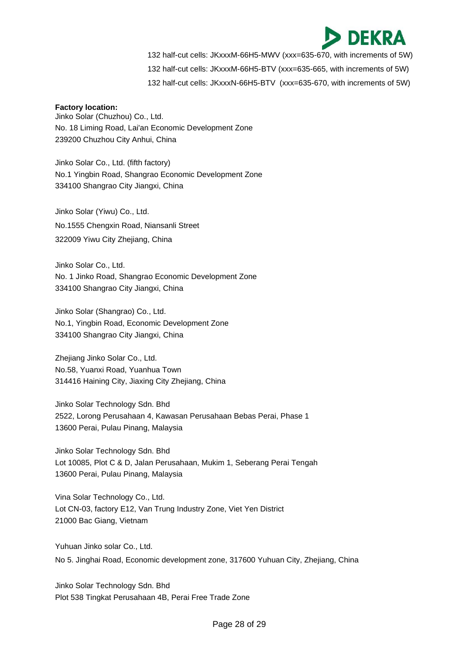

132 half-cut cells: JKxxxM-66H5-MWV (xxx=635-670, with increments of 5W)

132 half-cut cells: JKxxxM-66H5-BTV (xxx=635-665, with increments of 5W)

132 half-cut cells: JKxxxN-66H5-BTV (xxx=635-670, with increments of 5W)

#### **Factory location:**

Jinko Solar (Chuzhou) Co., Ltd. No. 18 Liming Road, Lai'an Economic Development Zone 239200 Chuzhou City Anhui, China

Jinko Solar Co., Ltd. (fifth factory) No.1 Yingbin Road, Shangrao Economic Development Zone 334100 Shangrao City Jiangxi, China

Jinko Solar (Yiwu) Co., Ltd. No.1555 Chengxin Road, Niansanli Street 322009 Yiwu City Zhejiang, China

Jinko Solar Co., Ltd. No. 1 Jinko Road, Shangrao Economic Development Zone 334100 Shangrao City Jiangxi, China

Jinko Solar (Shangrao) Co., Ltd. No.1, Yingbin Road, Economic Development Zone 334100 Shangrao City Jiangxi, China

Zhejiang Jinko Solar Co., Ltd. No.58, Yuanxi Road, Yuanhua Town 314416 Haining City, Jiaxing City Zhejiang, China

Jinko Solar Technology Sdn. Bhd 2522, Lorong Perusahaan 4, Kawasan Perusahaan Bebas Perai, Phase 1 13600 Perai, Pulau Pinang, Malaysia

Jinko Solar Technology Sdn. Bhd Lot 10085, Plot C & D, Jalan Perusahaan, Mukim 1, Seberang Perai Tengah 13600 Perai, Pulau Pinang, Malaysia

Vina Solar Technology Co., Ltd. Lot CN-03, factory E12, Van Trung Industry Zone, Viet Yen District 21000 Bac Giang, Vietnam

Yuhuan Jinko solar Co., Ltd. No 5. Jinghai Road, Economic development zone, 317600 Yuhuan City, Zhejiang, China

Jinko Solar Technology Sdn. Bhd Plot 538 Tingkat Perusahaan 4B, Perai Free Trade Zone